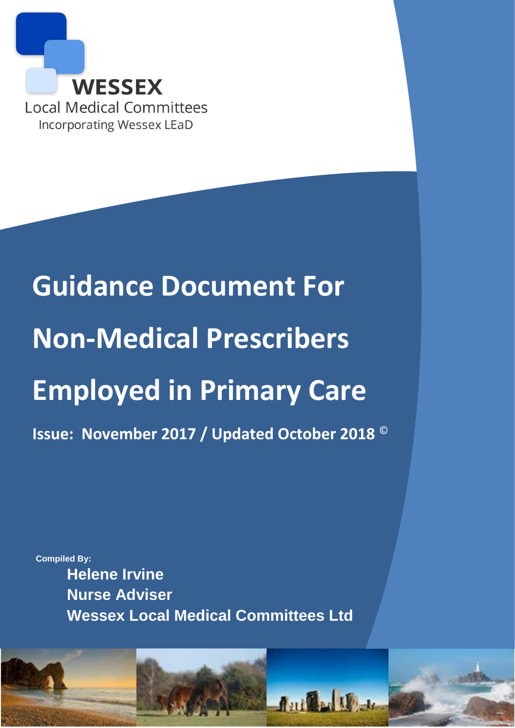

# **Guidance Document For Non-Medical Prescribers Employed in Primary Care Issue: November 2017 / Updated October 2018** ©

**Compiled By:**

**Helene Irvine Nurse Adviser Wessex Local Medical Committees Ltd**

1

**Author**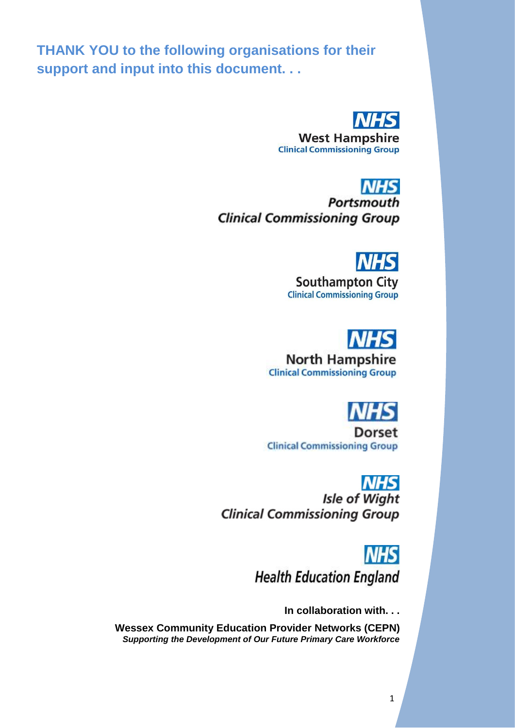**THANK YOU to the following organisations for their support and input into this document. . .**



**West Hampshire Clinical Commissioning Group** 

**NHS Portsmouth Clinical Commissioning Group** 

**Southampton City Clinical Commissioning Group** 

## **North Hampshire Clinical Commissioning Group**



**Dorset Clinical Commissioning Group** 

### **NHS**

**Isle of Wight Clinical Commissioning Group** 

> **NHS Health Education England**

> > **In collaboration with. . .**

**Wessex Community Education Provider Networks (CEPN)** *Supporting the Development of Our Future Primary Care Workforce*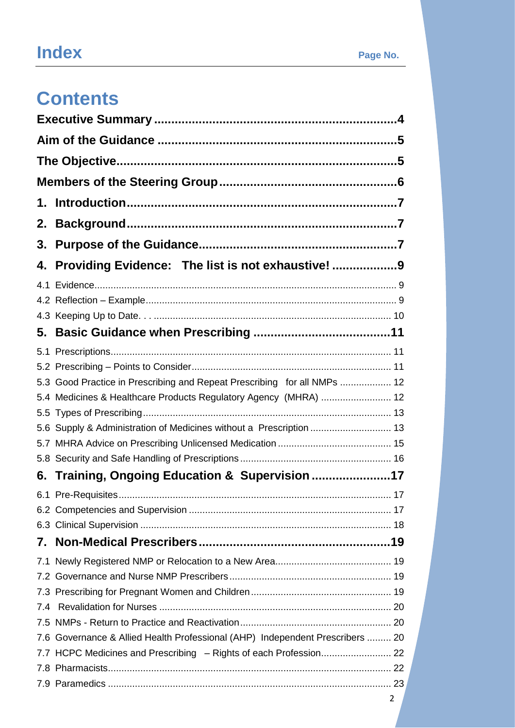## **Index**<br>**Page No.**

## **Contents**

| 2.  |                                                                               |  |
|-----|-------------------------------------------------------------------------------|--|
| 3.  |                                                                               |  |
|     | 4. Providing Evidence: The list is not exhaustive! 9                          |  |
|     |                                                                               |  |
|     |                                                                               |  |
|     |                                                                               |  |
| 5.  |                                                                               |  |
|     |                                                                               |  |
|     |                                                                               |  |
|     | 5.3 Good Practice in Prescribing and Repeat Prescribing for all NMPs  12      |  |
|     | 5.4 Medicines & Healthcare Products Regulatory Agency (MHRA)  12              |  |
|     |                                                                               |  |
|     | 5.6 Supply & Administration of Medicines without a Prescription  13           |  |
|     |                                                                               |  |
|     |                                                                               |  |
|     | 6. Training, Ongoing Education & Supervision 17                               |  |
|     |                                                                               |  |
|     |                                                                               |  |
|     |                                                                               |  |
|     |                                                                               |  |
|     |                                                                               |  |
|     |                                                                               |  |
|     |                                                                               |  |
| 7.4 |                                                                               |  |
|     |                                                                               |  |
|     | 7.6 Governance & Allied Health Professional (AHP) Independent Prescribers  20 |  |
|     |                                                                               |  |
|     |                                                                               |  |
|     |                                                                               |  |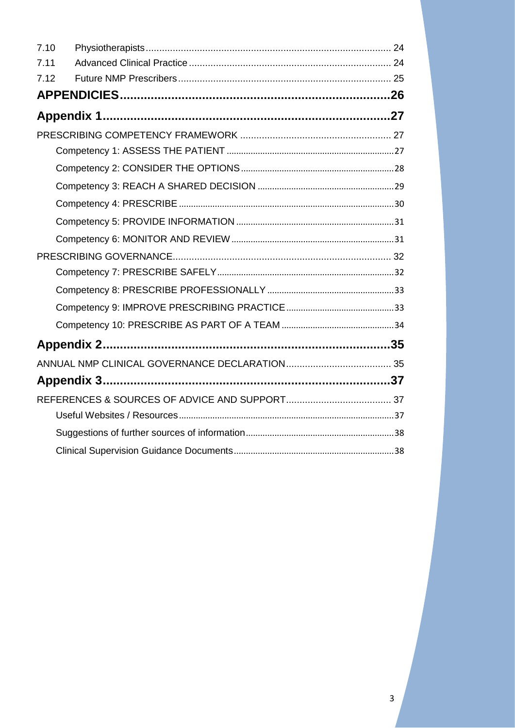| 7.10 |  |
|------|--|
| 7.11 |  |
| 7.12 |  |
|      |  |
|      |  |
|      |  |
|      |  |
|      |  |
|      |  |
|      |  |
|      |  |
|      |  |
|      |  |
|      |  |
|      |  |
|      |  |
|      |  |
|      |  |
|      |  |
|      |  |
|      |  |
|      |  |
|      |  |
|      |  |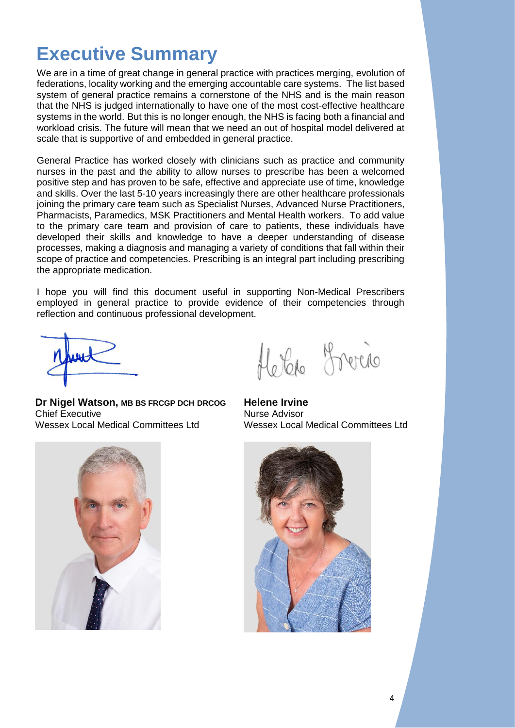## <span id="page-4-0"></span>**Executive Summary**

We are in a time of great change in general practice with practices merging, evolution of federations, locality working and the emerging accountable care systems. The list based system of general practice remains a cornerstone of the NHS and is the main reason that the NHS is judged internationally to have one of the most cost-effective healthcare systems in the world. But this is no longer enough, the NHS is facing both a financial and workload crisis. The future will mean that we need an out of hospital model delivered at scale that is supportive of and embedded in general practice.

General Practice has worked closely with clinicians such as practice and community nurses in the past and the ability to allow nurses to prescribe has been a welcomed positive step and has proven to be safe, effective and appreciate use of time, knowledge and skills. Over the last 5-10 years increasingly there are other healthcare professionals joining the primary care team such as Specialist Nurses, Advanced Nurse Practitioners, Pharmacists, Paramedics, MSK Practitioners and Mental Health workers. To add value to the primary care team and provision of care to patients, these individuals have developed their skills and knowledge to have a deeper understanding of disease processes, making a diagnosis and managing a variety of conditions that fall within their scope of practice and competencies. Prescribing is an integral part including prescribing the appropriate medication.

I hope you will find this document useful in supporting Non-Medical Prescribers employed in general practice to provide evidence of their competencies through reflection and continuous professional development.

**Dr Nigel Watson, MB BS FRCGP DCH DRCOG** Chief Executive Wessex Local Medical Committees Ltd



**Helene Irvine** Nurse Advisor Wessex Local Medical Committees Ltd



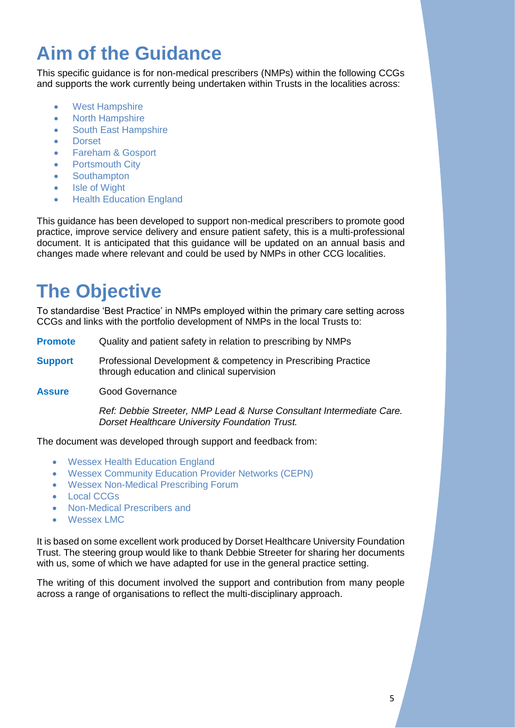## <span id="page-5-0"></span>**Aim of the Guidance**

This specific guidance is for non-medical prescribers (NMPs) within the following CCGs and supports the work currently being undertaken within Trusts in the localities across:

- West Hampshire
- North Hampshire
- South East Hampshire
- Dorset
- Fareham & Gosport
- **Portsmouth City**
- Southampton
- Isle of Wight
- Health Education England

This guidance has been developed to support non-medical prescribers to promote good practice, improve service delivery and ensure patient safety, this is a multi-professional document. It is anticipated that this guidance will be updated on an annual basis and changes made where relevant and could be used by NMPs in other CCG localities.

## <span id="page-5-1"></span>**The Objective**

To standardise 'Best Practice' in NMPs employed within the primary care setting across CCGs and links with the portfolio development of NMPs in the local Trusts to:

- **Promote** Quality and patient safety in relation to prescribing by NMPs
- **Support** Professional Development & competency in Prescribing Practice through education and clinical supervision
- **Assure** Good Governance

*Ref: Debbie Streeter, NMP Lead & Nurse Consultant Intermediate Care. Dorset Healthcare University Foundation Trust.*

The document was developed through support and feedback from:

- Wessex Health Education England
- Wessex Community Education Provider Networks (CEPN)
- Wessex Non-Medical Prescribing Forum
- Local CCGs
- Non-Medical Prescribers and
- Wessex LMC

It is based on some excellent work produced by Dorset Healthcare University Foundation Trust. The steering group would like to thank Debbie Streeter for sharing her documents with us, some of which we have adapted for use in the general practice setting.

The writing of this document involved the support and contribution from many people across a range of organisations to reflect the multi-disciplinary approach.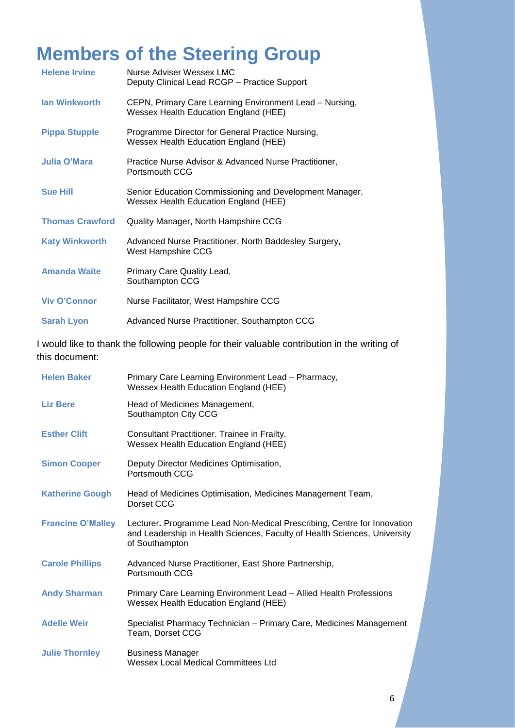## <span id="page-6-0"></span>**Members of the Steering Group**

| <b>Helene Irvine</b>   | Nurse Adviser Wessex LMC<br>Deputy Clinical Lead RCGP - Practice Support                         |
|------------------------|--------------------------------------------------------------------------------------------------|
| <b>Ian Winkworth</b>   | CEPN, Primary Care Learning Environment Lead - Nursing,<br>Wessex Health Education England (HEE) |
| <b>Pippa Stupple</b>   | Programme Director for General Practice Nursing,<br>Wessex Health Education England (HEE)        |
| Julia O'Mara           | Practice Nurse Advisor & Advanced Nurse Practitioner,<br>Portsmouth CCG                          |
| <b>Sue Hill</b>        | Senior Education Commissioning and Development Manager,<br>Wessex Health Education England (HEE) |
| <b>Thomas Crawford</b> | Quality Manager, North Hampshire CCG                                                             |
| <b>Katy Winkworth</b>  | Advanced Nurse Practitioner, North Baddesley Surgery,<br>West Hampshire CCG                      |
| <b>Amanda Waite</b>    | Primary Care Quality Lead,<br>Southampton CCG                                                    |
| <b>Viv O'Connor</b>    | Nurse Facilitator, West Hampshire CCG                                                            |
| <b>Sarah Lyon</b>      | Advanced Nurse Practitioner, Southampton CCG                                                     |

I would like to thank the following people for their valuable contribution in the writing of this document:

| <b>Helen Baker</b>       | Primary Care Learning Environment Lead - Pharmacy,<br>Wessex Health Education England (HEE)                                                                            |
|--------------------------|------------------------------------------------------------------------------------------------------------------------------------------------------------------------|
| <b>Liz Bere</b>          | Head of Medicines Management,<br>Southampton City CCG                                                                                                                  |
| <b>Esther Clift</b>      | Consultant Practitioner. Trainee in Frailty.<br>Wessex Health Education England (HEE)                                                                                  |
| <b>Simon Cooper</b>      | Deputy Director Medicines Optimisation,<br>Portsmouth CCG                                                                                                              |
| <b>Katherine Gough</b>   | Head of Medicines Optimisation, Medicines Management Team,<br>Dorset CCG                                                                                               |
| <b>Francine O'Malley</b> | Lecturer. Programme Lead Non-Medical Prescribing, Centre for Innovation<br>and Leadership in Health Sciences, Faculty of Health Sciences, University<br>of Southampton |
| <b>Carole Phillips</b>   | Advanced Nurse Practitioner, East Shore Partnership,<br>Portsmouth CCG                                                                                                 |
| <b>Andy Sharman</b>      | Primary Care Learning Environment Lead - Allied Health Professions<br>Wessex Health Education England (HEE)                                                            |
| <b>Adelle Weir</b>       | Specialist Pharmacy Technician – Primary Care, Medicines Management<br>Team, Dorset CCG                                                                                |
| <b>Julie Thornley</b>    | <b>Business Manager</b><br><b>Wessex Local Medical Committees Ltd</b>                                                                                                  |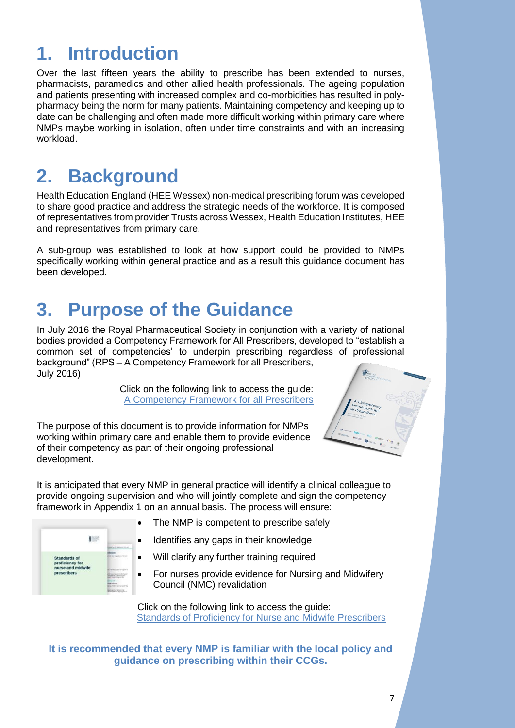## <span id="page-7-0"></span>**1. Introduction**

Over the last fifteen years the ability to prescribe has been extended to nurses, pharmacists, paramedics and other allied health professionals. The ageing population and patients presenting with increased complex and co-morbidities has resulted in polypharmacy being the norm for many patients. Maintaining competency and keeping up to date can be challenging and often made more difficult working within primary care where NMPs maybe working in isolation, often under time constraints and with an increasing workload.

## <span id="page-7-1"></span>**2. Background**

Health Education England (HEE Wessex) non-medical prescribing forum was developed to share good practice and address the strategic needs of the workforce. It is composed of representatives from provider Trusts across Wessex, Health Education Institutes, HEE and representatives from primary care.

A sub-group was established to look at how support could be provided to NMPs specifically working within general practice and as a result this guidance document has been developed.

## <span id="page-7-2"></span>**3. Purpose of the Guidance**

In July 2016 the Royal Pharmaceutical Society in conjunction with a variety of national bodies provided a Competency Framework for All Prescribers, developed to "establish a common set of competencies' to underpin prescribing regardless of professional background" (RPS – A Competency Framework for all Prescribers, July 2016)

> Click on the following link to access the guide: [A Competency Framework for all Prescribers](https://www.rpharms.com/resources/frameworks/prescribers-competency-framework)

The purpose of this document is to provide information for NMPs working within primary care and enable them to provide evidence of their competency as part of their ongoing professional development.





- The NMP is competent to prescribe safely
- Identifies any gaps in their knowledge
- Will clarify any further training required
- For nurses provide evidence for Nursing and Midwifery Council (NMC) revalidation

Click on the following link to access the guide: [Standards of Proficiency for Nurse and Midwife Prescribers](https://www.rpharms.com/resources/frameworks/prescribers-competency-framework)

**It is recommended that every NMP is familiar with the local policy and guidance on prescribing within their CCGs.**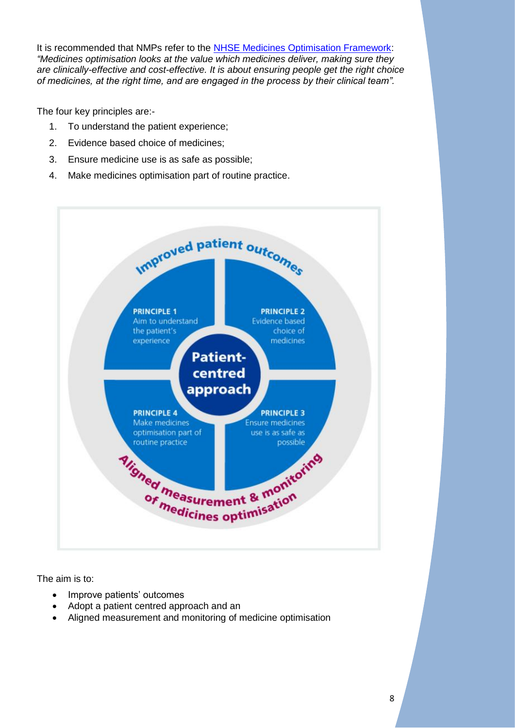It is recommended that NMPs refer to the [NHSE Medicines Optimisation Framework:](https://www.england.nhs.uk/medicines/medicines-optimisation/) *"Medicines optimisation looks at the value which medicines deliver, making sure they are clinically-effective and cost-effective. It is about ensuring people get the right choice of medicines, at the right time, and are engaged in the process by their clinical team".*

The four key principles are:-

- 1. To understand the patient experience;
- 2. Evidence based choice of medicines;
- 3. Ensure medicine use is as safe as possible;
- 4. Make medicines optimisation part of routine practice.



The aim is to:

- Improve patients' outcomes
- Adopt a patient centred approach and an
- Aligned measurement and monitoring of medicine optimisation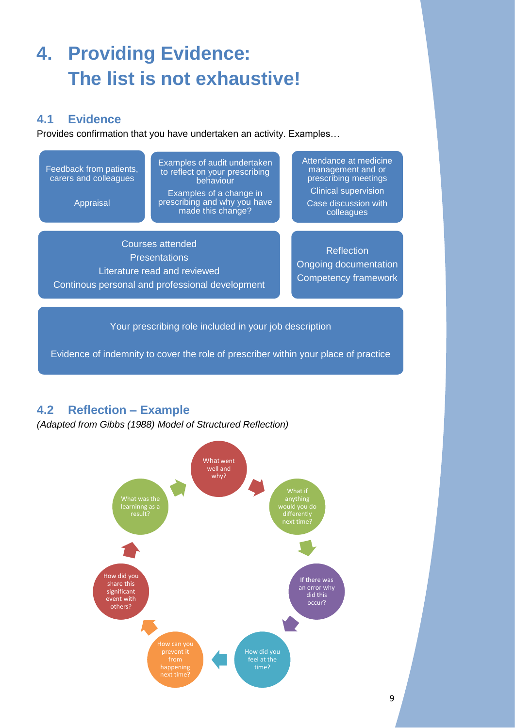## <span id="page-9-0"></span>**4. Providing Evidence: The list is not exhaustive!**

### <span id="page-9-1"></span>**4.1 Evidence**

Provides confirmation that you have undertaken an activity. Examples…

Feedback from patients, carers and colleagues

Appraisal

Examples of audit undertaken to reflect on your prescribing behaviour Examples of a change in

prescribing and why you have made this change?

Attendance at medicine management and or prescribing meetings Clinical supervision Case discussion with colleagues

Courses attended **Presentations** Literature read and reviewed Continous personal and professional development

**Reflection** Ongoing documentation Competency framework

Your prescribing role included in your job description

Evidence of indemnity to cover the role of prescriber within your place of practice

### <span id="page-9-2"></span>**4.2 Reflection – Example**

*(Adapted from Gibbs (1988) Model of Structured Reflection)*

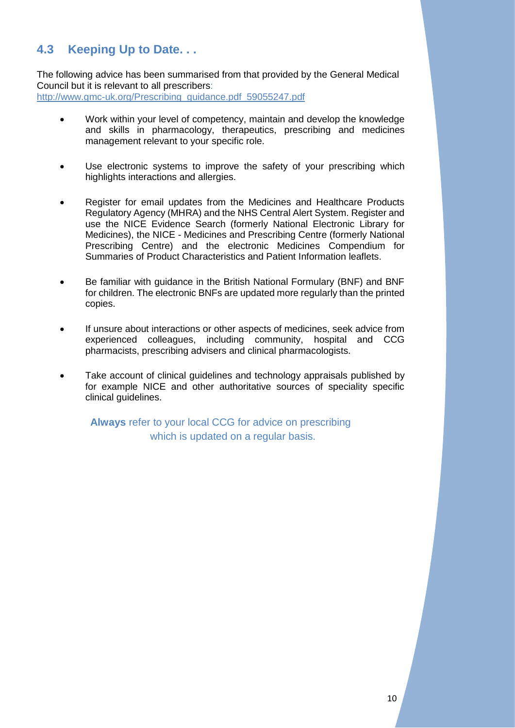### <span id="page-10-0"></span>**4.3 Keeping Up to Date. . .**

The following advice has been summarised from that provided by the General Medical Council but it is relevant to all prescribers: [http://www.gmc-uk.org/Prescribing\\_guidance.pdf\\_59055247.pdf](http://www.gmc-uk.org/Prescribing_guidance.pdf_59055247.pdf)

- Work within your level of competency, maintain and develop the knowledge and skills in pharmacology, therapeutics, prescribing and medicines management relevant to your specific role.
- Use electronic systems to improve the safety of your prescribing which highlights interactions and allergies.
- Register for email updates from the Medicines and Healthcare Products Regulatory Agency (MHRA) and the NHS Central Alert System. Register and use the NICE Evidence Search (formerly National Electronic Library for Medicines), the NICE - Medicines and Prescribing Centre (formerly National Prescribing Centre) and the electronic Medicines Compendium for Summaries of Product Characteristics and Patient Information leaflets.
- Be familiar with guidance in the British National Formulary (BNF) and BNF for children. The electronic BNFs are updated more regularly than the printed copies.
- If unsure about interactions or other aspects of medicines, seek advice from experienced colleagues, including community, hospital and CCG pharmacists, prescribing advisers and clinical pharmacologists.
- Take account of clinical guidelines and technology appraisals published by for example NICE and other authoritative sources of speciality specific clinical guidelines.

**Always** refer to your local CCG for advice on prescribing which is updated on a regular basis.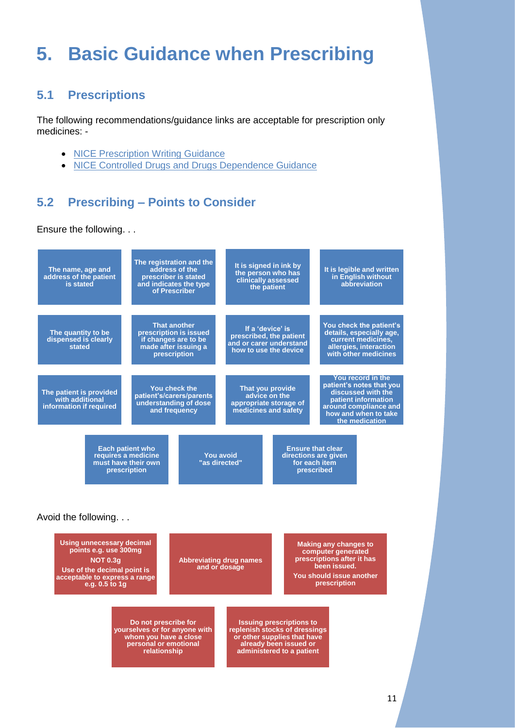## <span id="page-11-0"></span>**5. Basic Guidance when Prescribing**

### <span id="page-11-1"></span>**5.1 Prescriptions**

The following recommendations/guidance links are acceptable for prescription only medicines: -

- NICE [Prescription Writing Guidance](https://bnf.nice.org.uk/guidance/prescription-writing.html)
- NICE [Controlled Drugs and Drugs Dependence Guidance](https://bnf.nice.org.uk/guidance/controlled-drugs-and-drug-dependence.html)

### <span id="page-11-2"></span>**5.2 Prescribing – Points to Consider**

Ensure the following. . .



**NOT 0.3g Use of the decimal point is acceptable to express a range e.g. 0.5 to 1g**

**Abbreviating drug names and or dosage**

**computer generated prescriptions after it has been issued. You should issue another prescription** 

**Do not prescribe for yourselves or for anyone with whom you have a close personal or emotional relationship**

**Issuing prescriptions to replenish stocks of dressings or other supplies that have already been issued or administered to a patient**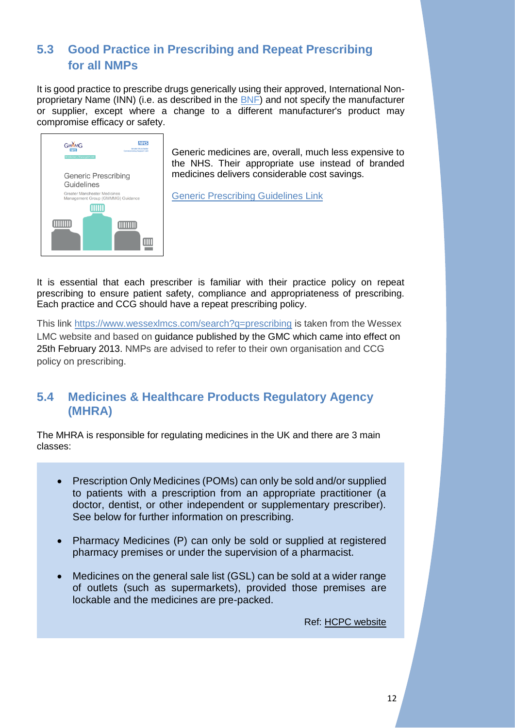### <span id="page-12-0"></span>**5.3 Good Practice in Prescribing and Repeat Prescribing for all NMPs**

It is good practice to prescribe drugs generically using their approved, International Nonproprietary Name (INN) (i.e. as described in the [BNF\)](https://bnf.nice.org.uk/) and not specify the manufacturer or supplier, except where a change to a different manufacturer's product may compromise efficacy or safety.



Generic medicines are, overall, much less expensive to the NHS. Their appropriate use instead of branded medicines delivers considerable cost savings.

[Generic Prescribing Guidelines Link](http://gmmmg.nhs.uk/docs/guidance/GMMMG%20Generic%20Prescribing%20Guidelines.pdf)

It is essential that each prescriber is familiar with their practice policy on repeat prescribing to ensure patient safety, compliance and appropriateness of prescribing. Each practice and CCG should have a repeat prescribing policy.

This link<https://www.wessexlmcs.com/search?q=prescribing> is taken from the Wessex LMC website and based on guidance published by the GMC which came into effect on 25th February 2013. NMPs are advised to refer to their own organisation and CCG policy on prescribing.

### <span id="page-12-1"></span>**5.4 Medicines & Healthcare Products Regulatory Agency (MHRA)**

The MHRA is responsible for regulating medicines in the UK and there are 3 main classes:

- Prescription Only Medicines (POMs) can only be sold and/or supplied to patients with a prescription from an appropriate practitioner (a doctor, dentist, or other independent or supplementary prescriber). See below for further information on prescribing.
- Pharmacy Medicines (P) can only be sold or supplied at registered pharmacy premises or under the supervision of a pharmacist.
- Medicines on the general sale list (GSL) can be sold at a wider range of outlets (such as supermarkets), provided those premises are lockable and the medicines are pre-packed.

Ref: [HCPC website](http://www.hpc-uk.org/aboutregistration/medicinesandprescribing/)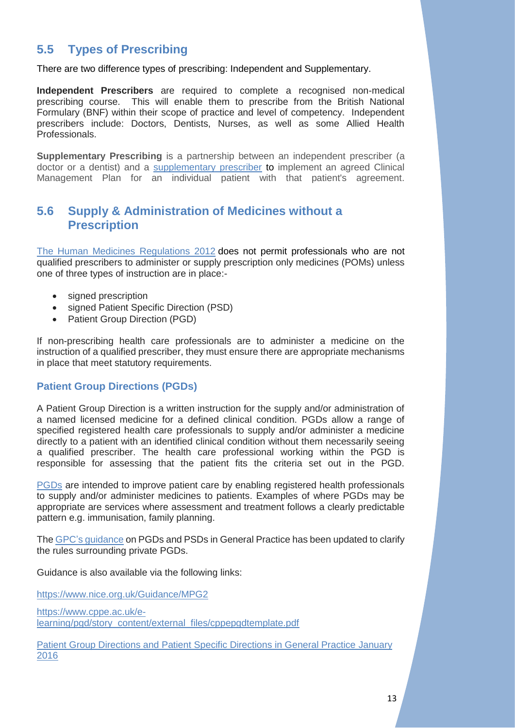### <span id="page-13-0"></span>**5.5 Types of Prescribing**

There are two difference types of prescribing: Independent and Supplementary.

**Independent Prescribers** are required to complete a recognised non-medical prescribing course. This will enable them to prescribe from the British National Formulary (BNF) within their scope of practice and level of competency. Independent prescribers include: Doctors, Dentists, Nurses, as well as some Allied Health **Professionals** 

**Supplementary Prescribing** is a partnership between an independent prescriber (a doctor or a dentist) and a [supplementary prescriber](https://bnf.nice.org.uk/guidance/non-medical-prescribing.html) to implement an agreed Clinical Management Plan for an individual patient with that patient's agreement.

### <span id="page-13-1"></span>**5.6 Supply & Administration of Medicines without a Prescription**

[The Human Medicines Regulations 2012](http://www.legislation.gov.uk/uksi/2012/1916/contents/made) does not permit professionals who are not qualified prescribers to administer or supply prescription only medicines (POMs) unless one of three types of instruction are in place:-

- signed prescription
- signed Patient Specific Direction (PSD)
- Patient Group Direction (PGD)

If non-prescribing health care professionals are to administer a medicine on the instruction of a qualified prescriber, they must ensure there are appropriate mechanisms in place that meet statutory requirements.

### **Patient Group Directions (PGDs)**

A Patient Group Direction is a written instruction for the supply and/or administration of a named licensed medicine for a defined clinical condition. PGDs allow a range of specified registered health care professionals to supply and/or administer a medicine directly to a patient with an identified clinical condition without them necessarily seeing a qualified prescriber. The health care professional working within the PGD is responsible for assessing that the patient fits the criteria set out in the PGD.

[PGDs](https://www.gov.uk/government/publications/patient-group-directions-pgds/patient-group-directions-who-can-use-them) are intended to improve patient care by enabling registered health professionals to supply and/or administer medicines to patients. Examples of where PGDs may be appropriate are services where assessment and treatment follows a clearly predictable pattern e.g. immunisation, family planning.

The [GPC's guidance](https://www.bma.org.uk/advice/employment/gp-practices/service-provision/prescribing/patient-group-directions) on PGDs and PSDs in General Practice has been updated to clarify the rules surrounding private PGDs.

Guidance is also available via the following links:

<https://www.nice.org.uk/Guidance/MPG2>

[https://www.cppe.ac.uk/e](https://www.cppe.ac.uk/e-learning/pgd/story_content/external_files/cppepgdtemplate.pdf)[learning/pgd/story\\_content/external\\_files/cppepgdtemplate.pdf](https://www.cppe.ac.uk/e-learning/pgd/story_content/external_files/cppepgdtemplate.pdf)

[Patient Group Directions and Patient Specific Directions in General Practice](https://www.wessexlmcs.com/websitefiles/download/2297) January [2016](https://www.wessexlmcs.com/websitefiles/download/2297)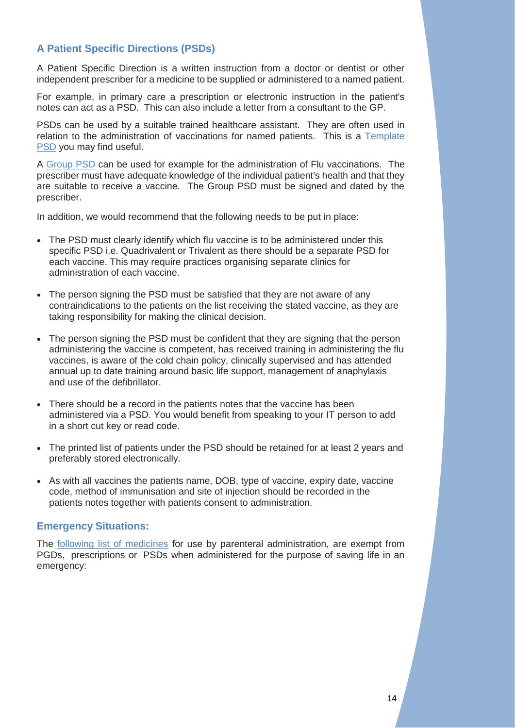### **A Patient Specific Directions (PSDs)**

A Patient Specific Direction is a written instruction from a doctor or dentist or other independent prescriber for a medicine to be supplied or administered to a named patient.

For example, in primary care a prescription or electronic instruction in the patient's notes can act as a PSD. This can also include a letter from a consultant to the GP.

PSDs can be used by a suitable trained healthcare assistant. They are often used in relation to the administration of vaccinations for named patients. This is a [Template](https://www.wessexlmcs.com/websitefiles/download/6129)  [PSD](https://www.wessexlmcs.com/websitefiles/download/6129) you may find useful.

A [Group PSD](https://www.wessexlmcs.com/fluvac201819pgds) can be used for example for the administration of Flu vaccinations. The prescriber must have adequate knowledge of the individual patient's health and that they are suitable to receive a vaccine. The Group PSD must be signed and dated by the prescriber.

In addition, we would recommend that the following needs to be put in place:

- The PSD must clearly identify which flu vaccine is to be administered under this specific PSD i.e. Quadrivalent or Trivalent as there should be a separate PSD for each vaccine. This may require practices organising separate clinics for administration of each vaccine.
- The person signing the PSD must be satisfied that they are not aware of any contraindications to the patients on the list receiving the stated vaccine, as they are taking responsibility for making the clinical decision.
- The person signing the PSD must be confident that they are signing that the person administering the vaccine is competent, has received training in administering the flu vaccines, is aware of the cold chain policy, clinically supervised and has attended annual up to date training around basic life support, management of anaphylaxis and use of the defibrillator.
- There should be a record in the patients notes that the vaccine has been administered via a PSD. You would benefit from speaking to your IT person to add in a short cut key or read code.
- The printed list of patients under the PSD should be retained for at least 2 years and preferably stored electronically.
- As with all vaccines the patients name, DOB, type of vaccine, expiry date, vaccine code, method of immunisation and site of injection should be recorded in the patients notes together with patients consent to administration.

### **Emergency Situations:**

The [following list of medicines](https://www.wessexlmcs.com/whennopsdorpgdisneeded) for use by parenteral administration, are exempt from PGDs, prescriptions or PSDs when administered for the purpose of saving life in an emergency: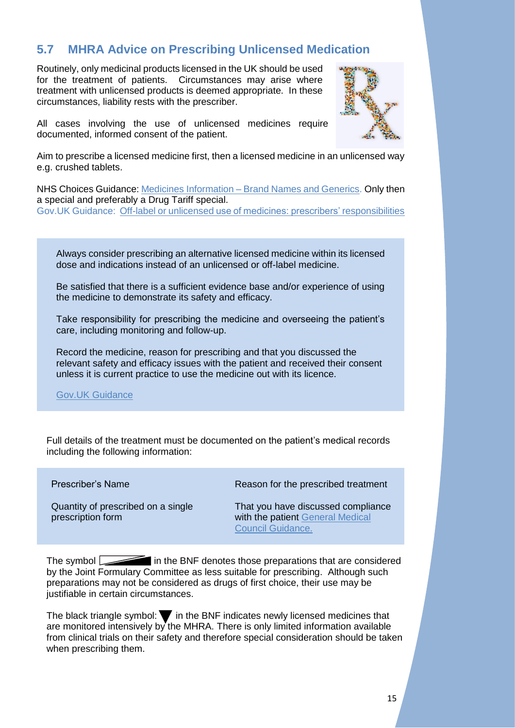### <span id="page-15-0"></span>**5.7 MHRA Advice on Prescribing Unlicensed Medication**

Routinely, only medicinal products licensed in the UK should be used for the treatment of patients. Circumstances may arise where treatment with unlicensed products is deemed appropriate. In these circumstances, liability rests with the prescriber.



All cases involving the use of unlicensed medicines require documented, informed consent of the patient.

Aim to prescribe a licensed medicine first, then a licensed medicine in an unlicensed way e.g. crushed tablets.

NHS Choices Guidance: Medicines Information – [Brand Names and Generics.](http://www.nhs.uk/conditions/medicinesinfo/pages/brandnamesandgenerics.aspx) Only then a special and preferably a Drug Tariff special. Gov.UK Guidance: Off-label or unlicensed [use of medicines: prescribers' responsibilities](https://www.gov.uk/drug-safety-update/off-label-or-unlicensed-use-of-medicines-prescribers-responsibilities)

Always consider prescribing an alternative licensed medicine within its licensed dose and indications instead of an unlicensed or off-label medicine.

Be satisfied that there is a sufficient evidence base and/or experience of using the medicine to demonstrate its safety and efficacy.

Take responsibility for prescribing the medicine and overseeing the patient's care, including monitoring and follow-up.

Record the medicine, reason for prescribing and that you discussed the relevant safety and efficacy issues with the patient and received their consent unless it is current practice to use the medicine out with its licence.

[Gov.UK Guidance](https://www.gov.uk/drug-safety-update/off-label-or-unlicensed-use-of-medicines-prescribers-responsibilities)

Full details of the treatment must be documented on the patient's medical records including the following information:

Prescriber's Name

Quantity of prescribed on a single prescription form

Reason for the prescribed treatment

That you have discussed compliance with the patient General Medical [Council Guidance.](http://www.gmc-uk.org/Prescribing_guidance.pdf_59055247.pdf)

The symbol in the BNF denotes those preparations that are considered by the Joint Formulary Committee as less suitable for prescribing. Although such preparations may not be considered as drugs of first choice, their use may be justifiable in certain circumstances.

The black triangle symbol:  $\blacktriangledown$  in the BNF indicates newly licensed medicines that are monitored intensively by the MHRA. There is only limited information available from clinical trials on their safety and therefore special consideration should be taken when prescribing them.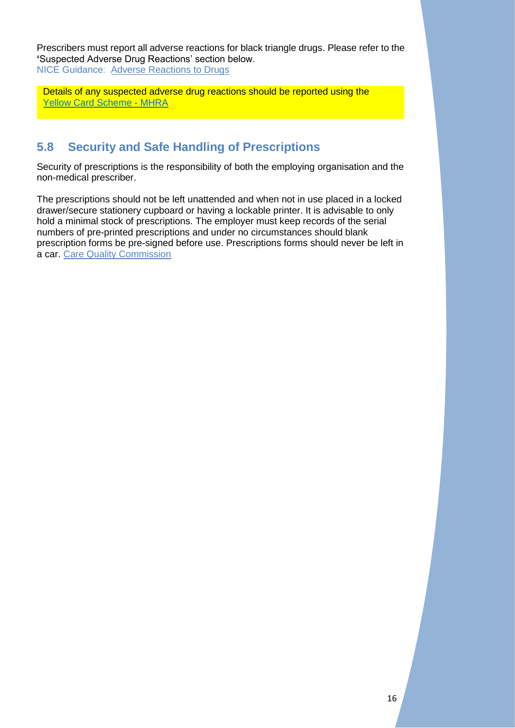Prescribers must report all adverse reactions for black triangle drugs. Please refer to the **'**Suspected Adverse Drug Reactions' section below. NICE Guidance: [Adverse Reactions to Drugs](https://bnf.nice.org.uk/guidance/adverse-reactions-to-drugs.html)

Details of any suspected adverse drug reactions should be reported using the [Yellow Card Scheme -](https://yellowcard.mhra.gov.uk/) MHRA

### <span id="page-16-0"></span>**5.8 Security and Safe Handling of Prescriptions**

Security of prescriptions is the responsibility of both the employing organisation and the non-medical prescriber.

The prescriptions should not be left unattended and when not in use placed in a locked drawer/secure stationery cupboard or having a lockable printer. It is advisable to only hold a minimal stock of prescriptions. The employer must keep records of the serial numbers of pre-printed prescriptions and under no circumstances should blank prescription forms be pre-signed before use. Prescriptions forms should never be left in a car. [Care Quality Commission](http://www.cqc.org.uk/guidance-providers/gps/nigels-surgery-23-security-blank-computer-prescription-forms)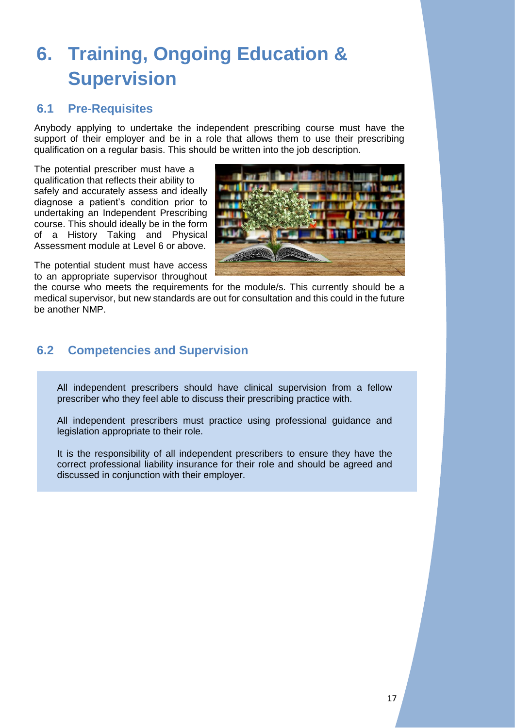## <span id="page-17-0"></span>**6. Training, Ongoing Education & Supervision**

### <span id="page-17-1"></span>**6.1 Pre-Requisites**

Anybody applying to undertake the independent prescribing course must have the support of their employer and be in a role that allows them to use their prescribing qualification on a regular basis. This should be written into the job description.

The potential prescriber must have a qualification that reflects their ability to safely and accurately assess and ideally diagnose a patient's condition prior to undertaking an Independent Prescribing course. This should ideally be in the form of a History Taking and Physical Assessment module at Level 6 or above.



The potential student must have access to an appropriate supervisor throughout

the course who meets the requirements for the module/s. This currently should be a medical supervisor, but new standards are out for consultation and this could in the future be another NMP.

### <span id="page-17-2"></span>**6.2 Competencies and Supervision**

All independent prescribers should have clinical supervision from a fellow prescriber who they feel able to discuss their prescribing practice with.

All independent prescribers must practice using professional guidance and legislation appropriate to their role.

It is the responsibility of all independent prescribers to ensure they have the correct professional liability insurance for their role and should be agreed and discussed in conjunction with their employer.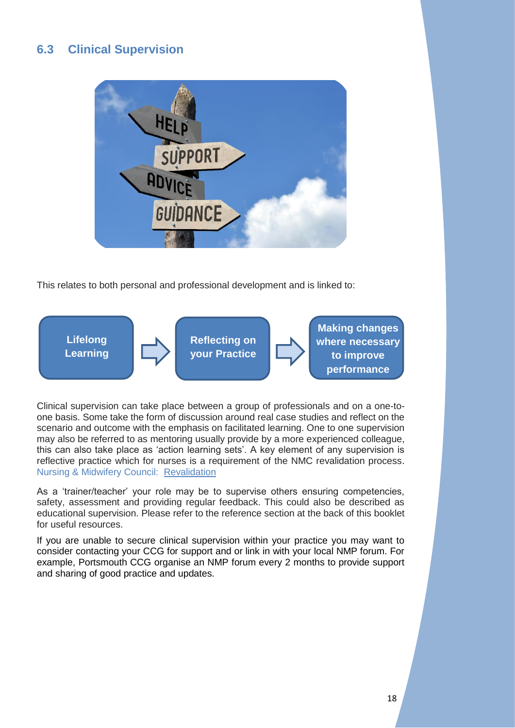### <span id="page-18-0"></span>**6.3 Clinical Supervision**



This relates to both personal and professional development and is linked to:



Clinical supervision can take place between a group of professionals and on a one-toone basis. Some take the form of discussion around real case studies and reflect on the scenario and outcome with the emphasis on facilitated learning. One to one supervision may also be referred to as mentoring usually provide by a more experienced colleague, this can also take place as 'action learning sets'. A key element of any supervision is reflective practice which for nurses is a requirement of the NMC revalidation process. Nursing & Midwifery Council: [Revalidation](http://revalidation.nmc.org.uk/) 

As a 'trainer/teacher' your role may be to supervise others ensuring competencies, safety, assessment and providing regular feedback. This could also be described as educational supervision. Please refer to the reference section at the back of this booklet for useful resources.

If you are unable to secure clinical supervision within your practice you may want to consider contacting your CCG for support and or link in with your local NMP forum. For example, Portsmouth CCG organise an NMP forum every 2 months to provide support and sharing of good practice and updates.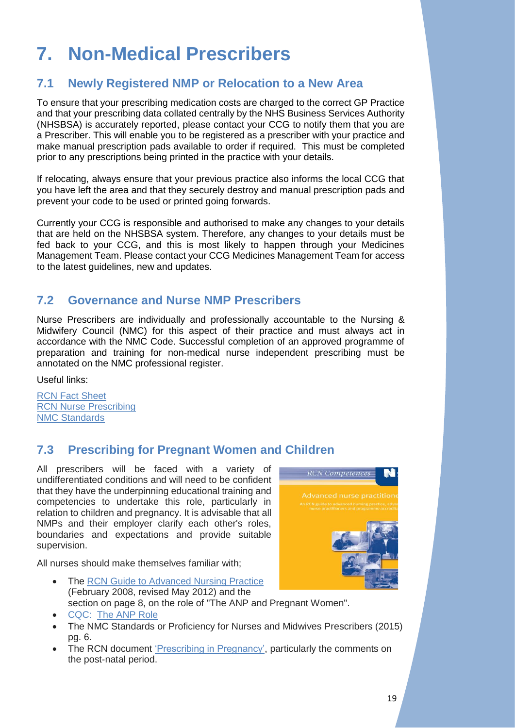## <span id="page-19-0"></span>**7. Non-Medical Prescribers**

### <span id="page-19-1"></span>**7.1 Newly Registered NMP or Relocation to a New Area**

To ensure that your prescribing medication costs are charged to the correct GP Practice and that your prescribing data collated centrally by the NHS Business Services Authority (NHSBSA) is accurately reported, please contact your CCG to notify them that you are a Prescriber. This will enable you to be registered as a prescriber with your practice and make manual prescription pads available to order if required. This must be completed prior to any prescriptions being printed in the practice with your details.

If relocating, always ensure that your previous practice also informs the local CCG that you have left the area and that they securely destroy and manual prescription pads and prevent your code to be used or printed going forwards.

Currently your CCG is responsible and authorised to make any changes to your details that are held on the NHSBSA system. Therefore, any changes to your details must be fed back to your CCG, and this is most likely to happen through your Medicines Management Team. Please contact your CCG Medicines Management Team for access to the latest guidelines, new and updates.

### <span id="page-19-2"></span>**7.2 Governance and Nurse NMP Prescribers**

Nurse Prescribers are individually and professionally accountable to the Nursing & Midwifery Council (NMC) for this aspect of their practice and must always act in accordance with the NMC Code. Successful completion of an approved programme of preparation and training for non-medical nurse independent prescribing must be annotated on the NMC professional register.

Useful links:

[RCN Fact Sheet](https://www.rcn.org.uk/about-us/policy-briefings/pol-1512) [RCN Nurse Prescribing](https://www.rcn.org.uk/get-help/rcn-advice/nurse-prescribing) [NMC Standards](https://www.nmc.org.uk/standards/additional-standards/standards-of-proficiency-for-nurse-and-midwife-prescribers/)

### <span id="page-19-3"></span>**7.3 Prescribing for Pregnant Women and Children**

All prescribers will be faced with a variety of undifferentiated conditions and will need to be confident that they have the underpinning educational training and competencies to undertake this role, particularly in relation to children and pregnancy. It is advisable that all NMPs and their employer clarify each other's roles, boundaries and expectations and provide suitable supervision.



All nurses should make themselves familiar with;

- The [RCN Guide to Advanced Nursing Practice](https://www.rcn.org.uk/professional-development/publications/pub-003207) (February 2008, revised May 2012) and the section on page 8, on the role of "The ANP and Pregnant Women".
- CQC: [The ANP Role](http://www.cqc.org.uk/content/nigels-surgery-66-advanced-nurse-practitioners-anps-primary-care)
- The NMC Standards or Proficiency for Nurses and Midwives Prescribers (2015) pg. 6.
- The RCN document ['Prescribing in Pregnancy',](https://www.rcn.org.uk/clinical-topics/medicines-optimisation/specialist-areas/prescribing-in-pregnancy) particularly the comments on the post-natal period.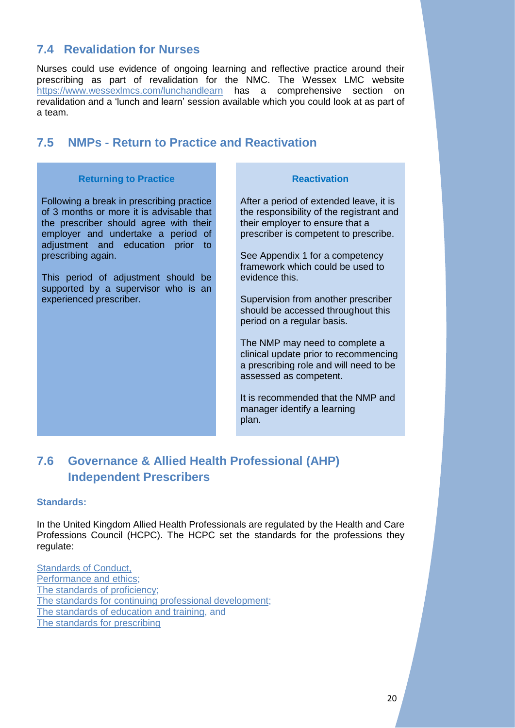### <span id="page-20-0"></span>**7.4 Revalidation for Nurses**

Nurses could use evidence of ongoing learning and reflective practice around their prescribing as part of revalidation for the NMC. The Wessex LMC website <https://www.wessexlmcs.com/lunchandlearn> has a comprehensive section on revalidation and a ['lunch and learn'](https://www.wessexlmcs.com/lunchandlearn) session available which you could look at as part of a team.

### <span id="page-20-1"></span>**7.5 NMPs - Return to Practice and Reactivation**

### **Returning to Practice Reactivation**

Following a break in prescribing practice of 3 months or more it is advisable that the prescriber should agree with their employer and undertake a period of adjustment and education prior to prescribing again.

This period of adjustment should be supported by a supervisor who is an experienced prescriber.

After a period of extended leave, it is the responsibility of the registrant and their employer to ensure that a prescriber is competent to prescribe.

See Appendix 1 for a competency framework which could be used to evidence this.

Supervision from another prescriber should be accessed throughout this period on a regular basis.

The NMP may need to complete a clinical update prior to recommencing a prescribing role and will need to be assessed as competent.

It is recommended that the NMP and manager identify a learning plan.

### <span id="page-20-2"></span>**7.6 Governance & Allied Health Professional (AHP) Independent Prescribers**

### **Standards:**

In the United Kingdom Allied Health Professionals are regulated by the Health and Care Professions Council (HCPC). The HCPC set the standards for the professions they regulate:

**[Standards of](http://www.hcpc-uk.org/assets/documents/10004EDFStandardsofconduct,performanceandethics.pdf) Conduct,** [Performance and ethics;](http://www.hcpc-uk.org/assets/documents/10004EDFStandardsofconduct,performanceandethics.pdf) [The standards of proficiency;](http://www.hcpc-uk.org/assets/documents/1000051CStandards_of_Proficiency_Paramedics.pdf) [The standards for continuing professional development;](http://www.hcpc-uk.org/aboutregistration/standards/cpd/) [The standards of education and training,](http://www.hcpc-uk.org/assets/documents/10000BCF46345Educ-Train-SOPA5_v2.pdf) and [The standards for prescribing](http://www.hcpc-uk.org/assets/documents/10004160Standardsforprescribing.pdf)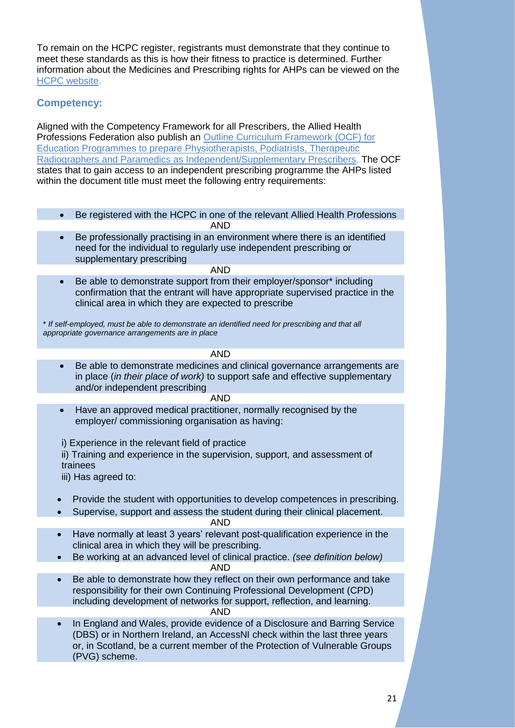To remain on the HCPC register, registrants must demonstrate that they continue to meet these standards as this is how their fitness to practice is determined. Further information about the Medicines and Prescribing rights for AHPs can be viewed on the [HCPC website.](http://www.hpc-uk.org/aboutregistration/medicinesandprescribing/)

### **Competency:**

Aligned with the Competency Framework for all Prescribers, the Allied Health Professions Federation also publish an [Outline Curriculum Framework \(OCF\) for](http://www.ahpf.org.uk/files/Joint%20OCF%202018%20update%20College%20of%20Paramedics%20March18%20minor%20error%20corrected.pdf)  [Education Programmes to prepare Physiotherapists, Podiatrists, Therapeutic](http://www.ahpf.org.uk/files/Joint%20OCF%202018%20update%20College%20of%20Paramedics%20March18%20minor%20error%20corrected.pdf)  [Radiographers and Paramedics as Independent/Supplementary Prescribers.](http://www.ahpf.org.uk/files/Joint%20OCF%202018%20update%20College%20of%20Paramedics%20March18%20minor%20error%20corrected.pdf) The OCF states that to gain access to an independent prescribing programme the AHPs listed within the document title must meet the following entry requirements:

- Be registered with the HCPC in one of the relevant Allied Health Professions AND
- Be professionally practising in an environment where there is an identified need for the individual to regularly use independent prescribing or supplementary prescribing

AND

• Be able to demonstrate support from their employer/sponsor\* including confirmation that the entrant will have appropriate supervised practice in the clinical area in which they are expected to prescribe

\* *If self-employed, must be able to demonstrate an identified need for prescribing and that all appropriate governance arrangements are in place*

AND

• Be able to demonstrate medicines and clinical governance arrangements are in place (*in their place of work)* to support safe and effective supplementary and/or independent prescribing

### AND

• Have an approved medical practitioner, normally recognised by the employer/ commissioning organisation as having:

i) Experience in the relevant field of practice

ii) Training and experience in the supervision, support, and assessment of trainees

iii) Has agreed to:

- Provide the student with opportunities to develop competences in prescribing.
- Supervise, support and assess the student during their clinical placement. AND
- Have normally at least 3 years' relevant post-qualification experience in the clinical area in which they will be prescribing.
- Be working at an advanced level of clinical practice. *(see definition below)* AND
- Be able to demonstrate how they reflect on their own performance and take responsibility for their own Continuing Professional Development (CPD) including development of networks for support, reflection, and learning. AND
- In England and Wales, provide evidence of a Disclosure and Barring Service (DBS) or in Northern Ireland, an AccessNI check within the last three years or, in Scotland, be a current member of the Protection of Vulnerable Groups (PVG) scheme.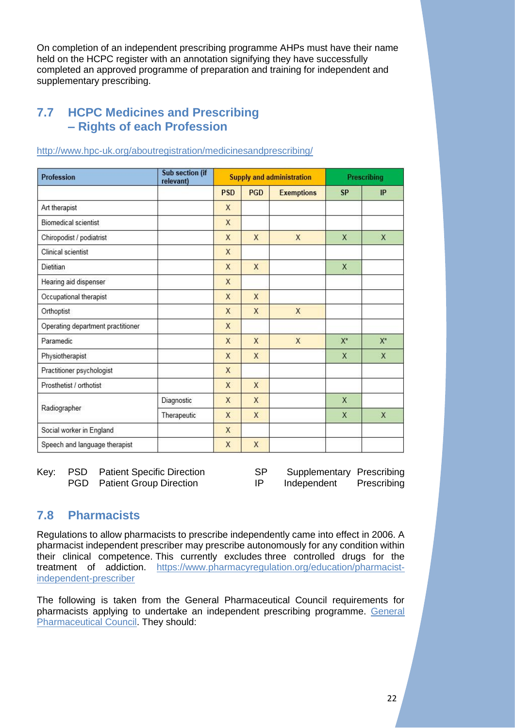On completion of an independent prescribing programme AHPs must have their name held on the HCPC register with an annotation signifying they have successfully completed an approved programme of preparation and training for independent and supplementary prescribing.

### <span id="page-22-0"></span>**7.7 HCPC Medicines and Prescribing – Rights of each Profession**

| Profession                        | Sub section (if<br>relevant) | <b>Supply and administration</b> |            | <b>Prescribing</b> |           |              |
|-----------------------------------|------------------------------|----------------------------------|------------|--------------------|-----------|--------------|
|                                   |                              | <b>PSD</b>                       | <b>PGD</b> | <b>Exemptions</b>  | <b>SP</b> | IP           |
| Art therapist                     |                              | X                                |            |                    |           |              |
| Biomedical scientist              |                              | X                                |            |                    |           |              |
| Chiropodist / podiatrist          |                              | X                                | X          | X                  | X         | $\mathsf{X}$ |
| Clinical scientist                |                              | X                                |            |                    |           |              |
| Dietitian                         |                              | X                                | X          |                    | X         |              |
| Hearing aid dispenser             |                              | X                                |            |                    |           |              |
| Occupational therapist            |                              | X                                | X          |                    |           |              |
| Orthoptist                        |                              | X                                | X          | X                  |           |              |
| Operating department practitioner |                              | X                                |            |                    |           |              |
| Paramedic                         |                              | X                                | X          | X                  | $X^*$     | $X^*$        |
| Physiotherapist                   |                              | X                                | X          |                    | X         | X            |
| Practitioner psychologist         |                              | X                                |            |                    |           |              |
| Prosthetist / orthotist           |                              | X                                | X          |                    |           |              |
|                                   | Diagnostic                   | X                                | X          |                    | X         |              |
| Radiographer                      | Therapeutic                  | X                                | X          |                    | X         | X            |
| Social worker in England          |                              | X                                |            |                    |           |              |
| Speech and language therapist     |                              | X                                | X          |                    |           |              |

### <http://www.hpc-uk.org/aboutregistration/medicinesandprescribing/>

Key: PSD Patient Specific Direction SP Supplementary Prescribing PGD Patient Group Direction IP Independent Prescribing

### <span id="page-22-1"></span>**7.8 Pharmacists**

Regulations to allow pharmacists to prescribe independently came into effect in 2006. A pharmacist independent prescriber may prescribe autonomously for any condition within their clinical competence. This currently excludes three controlled drugs for the treatment of addiction. [https://www.pharmacyregulation.org/education/pharmacist](https://www.pharmacyregulation.org/education/pharmacist-independent-prescriber)[independent-prescriber](https://www.pharmacyregulation.org/education/pharmacist-independent-prescriber)

The following is taken from the General Pharmaceutical Council requirements for pharmacists applying to undertake an independent prescribing programme. [General](https://www.pharmacyregulation.org/education/pharmacist-independent-prescriber)  [Pharmaceutical Council.](https://www.pharmacyregulation.org/education/pharmacist-independent-prescriber) They should: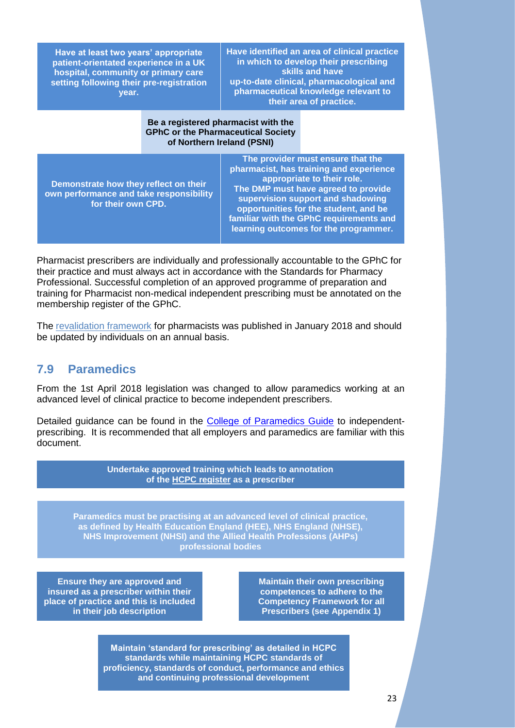| Have at least two years' appropriate     |  |  |  |
|------------------------------------------|--|--|--|
| patient-orientated experience in a UK    |  |  |  |
| hospital, community or primary care      |  |  |  |
| setting following their pre-registration |  |  |  |
| vear.                                    |  |  |  |

**Have identified an area of clinical practice in which to develop their prescribing skills and have up-to-date clinical, pharmacological and pharmaceutical knowledge relevant to their area of practice.**

### **Be a registered pharmacist with the GPhC or the Pharmaceutical Society of Northern Ireland (PSNI)**

| Demonstrate how they reflect on their<br>own performance and take responsibility<br>for their own CPD. | The provider must ensure that the<br>pharmacist, has training and experience<br>appropriate to their role.<br>The DMP must have agreed to provide<br>supervision support and shadowing<br>opportunities for the student, and be<br>familiar with the GPhC requirements and<br>learning outcomes for the programmer. |
|--------------------------------------------------------------------------------------------------------|---------------------------------------------------------------------------------------------------------------------------------------------------------------------------------------------------------------------------------------------------------------------------------------------------------------------|
|--------------------------------------------------------------------------------------------------------|---------------------------------------------------------------------------------------------------------------------------------------------------------------------------------------------------------------------------------------------------------------------------------------------------------------------|

Pharmacist prescribers are individually and professionally accountable to the GPhC for their practice and must always act in accordance with the Standards for Pharmacy Professional. Successful completion of an approved programme of preparation and training for Pharmacist non-medical independent prescribing must be annotated on the membership register of the GPhC.

The [revalidation framework](https://www.pharmacyregulation.org/sites/default/files/document/gphc_revalidation_framework_january_2018.pdf) for pharmacists was published in January 2018 and should be updated by individuals on an annual basis.

### <span id="page-23-0"></span>**7.9 Paramedics**

From the 1st April 2018 legislation was changed to allow paramedics working at an advanced level of clinical practice to become independent prescribers.

Detailed guidance can be found in the [College of Paramedics Guide](https://www.collegeofparamedics.co.uk/publications/independent-prescribing) to independentprescribing. It is recommended that all employers and paramedics are familiar with this document.

> **Undertake approved training which leads to annotation of the [HCPC register](http://www.hpc-uk.org/check/) as a prescriber**

**Paramedics must be practising at an advanced level of clinical practice, as defined by Health Education England (HEE), NHS England (NHSE), NHS Improvement (NHSI) and the Allied Health Professions (AHPs) professional bodies**

**Ensure they are approved and insured as a prescriber within their place of practice and this is included in their job description**

**Maintain their own prescribing competences to adhere to the Competency Framework for all Prescribers (see Appendix 1)**

**Maintain 'standard for prescribing' as detailed in HCPC standards while maintaining HCPC standards of proficiency, standards of conduct, performance and ethics and continuing professional development**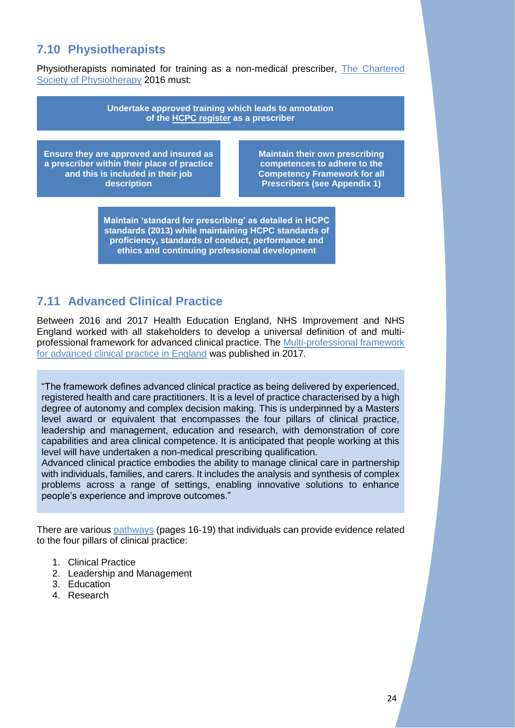### <span id="page-24-0"></span>**7.10 Physiotherapists**

Physiotherapists nominated for training as a non-medical prescriber, The Chartered [Society of Physiotherapy](http://www.csp.org.uk/publications/practice-guidance-physiotherapist-supplementary-prescribers) 2016 must:

> **Undertake approved training which leads to annotation of the [HCPC register](http://www.hpc-uk.org/check/) as a prescriber**

**Ensure they are approved and insured as a prescriber within their place of practice and this is included in their job description**

**Maintain their own prescribing competences to adhere to the Competency Framework for all Prescribers (see Appendix 1)**

**Maintain 'standard for prescribing' as detailed in HCPC standards (2013) while maintaining HCPC standards of proficiency, standards of conduct, performance and ethics and continuing professional development**

### <span id="page-24-1"></span>**7.11 Advanced Clinical Practice**

Between 2016 and 2017 Health Education England, NHS Improvement and NHS England worked with all stakeholders to develop a universal definition of and multiprofessional framework for advanced clinical practice. The [Multi-professional](https://www.hee.nhs.uk/sites/default/files/documents/Multi-professional%20framework%20for%20advanced%20clinical%20practice%20in%20England.pdf) framework [for advanced clinical practice in England](https://www.hee.nhs.uk/sites/default/files/documents/Multi-professional%20framework%20for%20advanced%20clinical%20practice%20in%20England.pdf) was published in 2017.

"The framework defines advanced clinical practice as being delivered by experienced, registered health and care practitioners. It is a level of practice characterised by a high degree of autonomy and complex decision making. This is underpinned by a Masters level award or equivalent that encompasses the four pillars of clinical practice, leadership and management, education and research, with demonstration of core capabilities and area clinical competence. It is anticipated that people working at this level will have undertaken a non-medical prescribing qualification.

Advanced clinical practice embodies the ability to manage clinical care in partnership with individuals, families, and carers. It includes the analysis and synthesis of complex problems across a range of settings, enabling innovative solutions to enhance people's experience and improve outcomes."

There are various [pathways](https://www.hee.nhs.uk/sites/default/files/documents/Multi-professional%20framework%20for%20advanced%20clinical%20practice%20in%20England.pdfhttps:/www.hee.nhs.uk/sites/default/files/documents/Multi-professional%20framework%20for%20advanced%20clinical%20practice%20in%20England.pdf) (pages 16-19) that individuals can provide evidence related to the four pillars of clinical practice:

- 1. Clinical Practice
- 2. Leadership and Management
- 3. Education
- 4. Research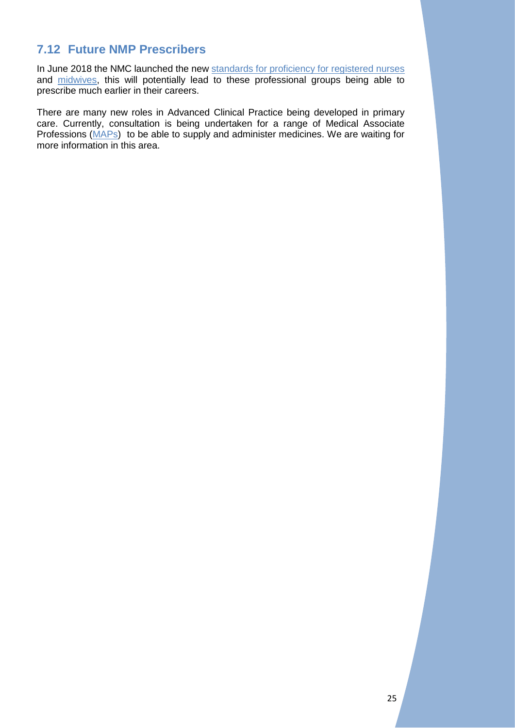### <span id="page-25-0"></span>**7.12 Future NMP Prescribers**

In June 2018 the NMC launched the new [standards for proficiency for registered nurses](https://www.nmc.org.uk/standards/standards-for-nurses/standards-of-proficiency-for-registered-nurses/https:/www.nmc.org.uk/standards/standards-for-nurses/standards-of-proficiency-for-registered-nurses/) and [midwives,](https://www.nmc.org.uk/standards-for-education-and-training/standards-framework-for-nursing-and-midwifery-education/) this will potentially lead to these professional groups being able to prescribe much earlier in their careers.

There are many new roles in Advanced Clinical Practice being developed in primary care. Currently, consultation is being undertaken for a range of Medical Associate Professions [\(MAPs\)](https://www.nhsemployers.org/your-workforce/plan/medical-associate-professions) to be able to supply and administer medicines. We are waiting for more information in this area.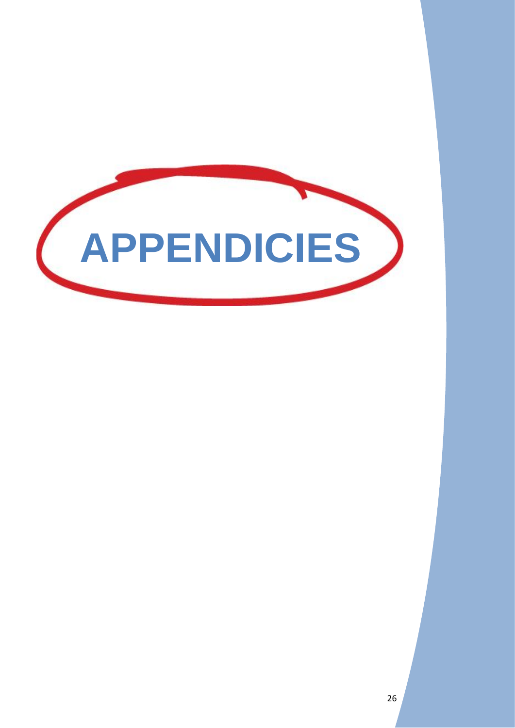<span id="page-26-0"></span>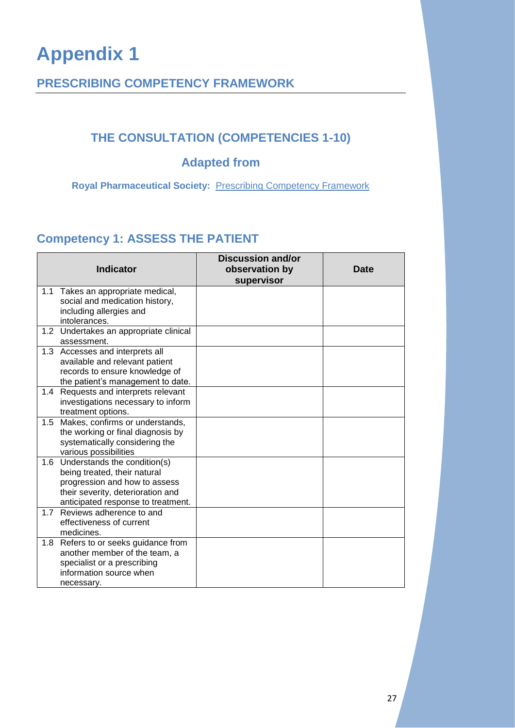### <span id="page-27-1"></span><span id="page-27-0"></span>**PRESCRIBING COMPETENCY FRAMEWORK**

### **THE CONSULTATION (COMPETENCIES 1-10)**

### **Adapted from**

**Royal Pharmaceutical Society:** [Prescribing Competency Framework](https://www.rpharms.com/resources/frameworks/prescribers-competency-framework)

### <span id="page-27-2"></span>**Competency 1: ASSESS THE PATIENT**

|     | <b>Indicator</b>                                                                                                                                                         | <b>Discussion and/or</b><br>observation by<br>supervisor | <b>Date</b> |
|-----|--------------------------------------------------------------------------------------------------------------------------------------------------------------------------|----------------------------------------------------------|-------------|
| 1.1 | Takes an appropriate medical,<br>social and medication history,<br>including allergies and<br>intolerances.                                                              |                                                          |             |
|     | 1.2 Undertakes an appropriate clinical<br>assessment.                                                                                                                    |                                                          |             |
|     | 1.3 Accesses and interprets all<br>available and relevant patient<br>records to ensure knowledge of<br>the patient's management to date.                                 |                                                          |             |
| 1.4 | Requests and interprets relevant<br>investigations necessary to inform<br>treatment options.                                                                             |                                                          |             |
| 1.5 | Makes, confirms or understands,<br>the working or final diagnosis by<br>systematically considering the<br>various possibilities                                          |                                                          |             |
| 1.6 | Understands the condition(s)<br>being treated, their natural<br>progression and how to assess<br>their severity, deterioration and<br>anticipated response to treatment. |                                                          |             |
| 1.7 | Reviews adherence to and<br>effectiveness of current<br>medicines.                                                                                                       |                                                          |             |
| 1.8 | Refers to or seeks guidance from<br>another member of the team, a<br>specialist or a prescribing<br>information source when<br>necessary.                                |                                                          |             |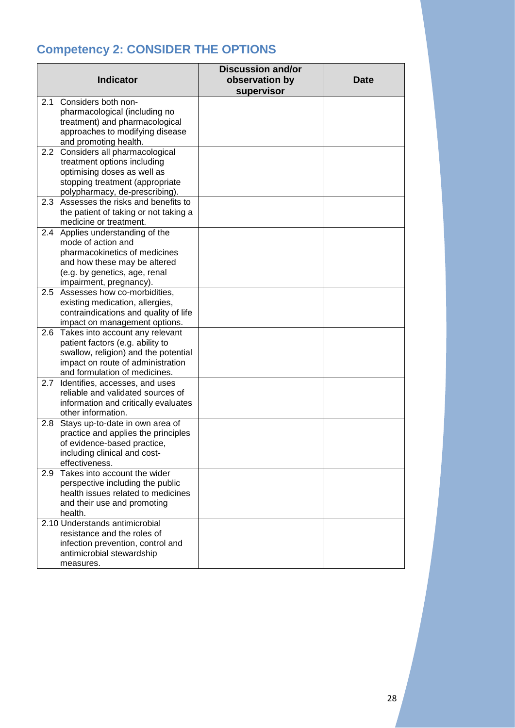### <span id="page-28-0"></span>**Competency 2: CONSIDER THE OPTIONS**

| <b>Indicator</b>                                                                                                                                                                                 | <b>Discussion and/or</b><br>observation by<br>supervisor | <b>Date</b> |
|--------------------------------------------------------------------------------------------------------------------------------------------------------------------------------------------------|----------------------------------------------------------|-------------|
| Considers both non-<br>2.1<br>pharmacological (including no<br>treatment) and pharmacological<br>approaches to modifying disease                                                                 |                                                          |             |
| and promoting health.<br>2.2<br>Considers all pharmacological<br>treatment options including<br>optimising doses as well as<br>stopping treatment (appropriate<br>polypharmacy, de-prescribing). |                                                          |             |
| Assesses the risks and benefits to<br>2.3<br>the patient of taking or not taking a<br>medicine or treatment.                                                                                     |                                                          |             |
| 2.4 Applies understanding of the<br>mode of action and<br>pharmacokinetics of medicines<br>and how these may be altered<br>(e.g. by genetics, age, renal<br>impairment, pregnancy).              |                                                          |             |
| Assesses how co-morbidities,<br>$2.5^{\circ}$<br>existing medication, allergies,<br>contraindications and quality of life<br>impact on management options.                                       |                                                          |             |
| Takes into account any relevant<br>2.6<br>patient factors (e.g. ability to<br>swallow, religion) and the potential<br>impact on route of administration<br>and formulation of medicines.         |                                                          |             |
| 2.7<br>Identifies, accesses, and uses<br>reliable and validated sources of<br>information and critically evaluates<br>other information.                                                         |                                                          |             |
| Stays up-to-date in own area of<br>2.8<br>practice and applies the principles<br>of evidence-based practice,<br>including clinical and cost-<br>effectiveness.                                   |                                                          |             |
| Takes into account the wider<br>2.9<br>perspective including the public<br>health issues related to medicines<br>and their use and promoting<br>health.                                          |                                                          |             |
| 2.10 Understands antimicrobial<br>resistance and the roles of<br>infection prevention, control and<br>antimicrobial stewardship<br>measures.                                                     |                                                          |             |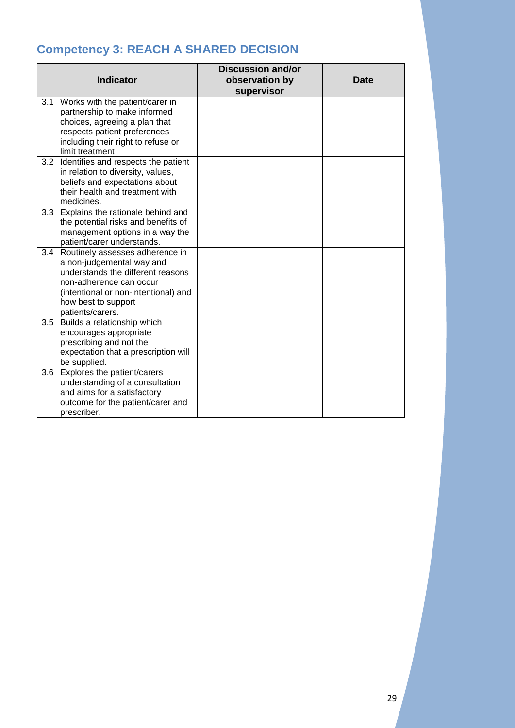### <span id="page-29-0"></span>**Competency 3: REACH A SHARED DECISION**

|     | <b>Indicator</b>                                                                                                                                                                                                    | <b>Discussion and/or</b><br>observation by<br>supervisor | <b>Date</b> |
|-----|---------------------------------------------------------------------------------------------------------------------------------------------------------------------------------------------------------------------|----------------------------------------------------------|-------------|
|     | 3.1 Works with the patient/carer in<br>partnership to make informed<br>choices, agreeing a plan that<br>respects patient preferences<br>including their right to refuse or<br>limit treatment                       |                                                          |             |
| 3.2 | Identifies and respects the patient<br>in relation to diversity, values,<br>beliefs and expectations about<br>their health and treatment with<br>medicines.                                                         |                                                          |             |
|     | 3.3 Explains the rationale behind and<br>the potential risks and benefits of<br>management options in a way the<br>patient/carer understands.                                                                       |                                                          |             |
|     | 3.4 Routinely assesses adherence in<br>a non-judgemental way and<br>understands the different reasons<br>non-adherence can occur<br>(intentional or non-intentional) and<br>how best to support<br>patients/carers. |                                                          |             |
| 3.5 | Builds a relationship which<br>encourages appropriate<br>prescribing and not the<br>expectation that a prescription will<br>be supplied.                                                                            |                                                          |             |
| 3.6 | Explores the patient/carers<br>understanding of a consultation<br>and aims for a satisfactory<br>outcome for the patient/carer and<br>prescriber.                                                                   |                                                          |             |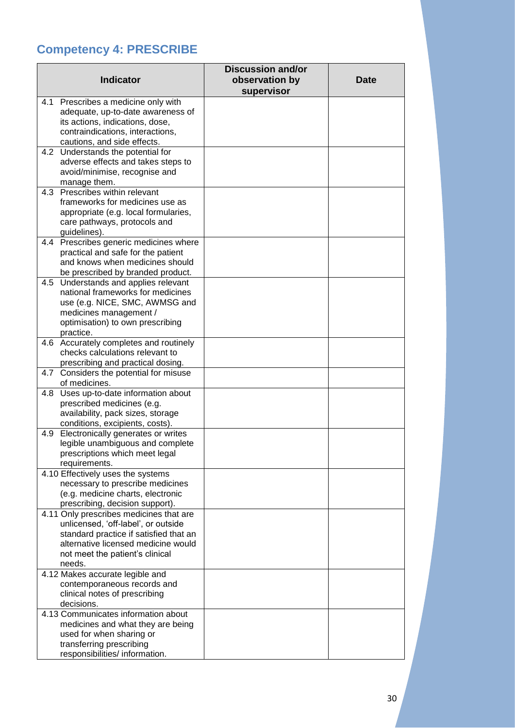### <span id="page-30-0"></span>**Competency 4: PRESCRIBE**

| 4.1 Prescribes a medicine only with<br>adequate, up-to-date awareness of<br>its actions, indications, dose,<br>contraindications, interactions,<br>cautions, and side effects.<br>4.2 Understands the potential for<br>adverse effects and takes steps to<br>avoid/minimise, recognise and<br>manage them.<br>Prescribes within relevant<br>4.3<br>frameworks for medicines use as<br>appropriate (e.g. local formularies,<br>care pathways, protocols and<br>guidelines).<br>4.4 Prescribes generic medicines where<br>practical and safe for the patient<br>and knows when medicines should<br>be prescribed by branded product.<br>4.5 Understands and applies relevant<br>national frameworks for medicines<br>use (e.g. NICE, SMC, AWMSG and<br>medicines management /<br>optimisation) to own prescribing<br>practice.<br>4.6 Accurately completes and routinely<br>checks calculations relevant to<br>prescribing and practical dosing.<br>4.7 Considers the potential for misuse<br>of medicines.<br>Uses up-to-date information about<br>4.8<br>prescribed medicines (e.g.<br>availability, pack sizes, storage<br>conditions, excipients, costs).<br>Electronically generates or writes<br>4.9<br>legible unambiguous and complete<br>prescriptions which meet legal<br>requirements. |
|-------------------------------------------------------------------------------------------------------------------------------------------------------------------------------------------------------------------------------------------------------------------------------------------------------------------------------------------------------------------------------------------------------------------------------------------------------------------------------------------------------------------------------------------------------------------------------------------------------------------------------------------------------------------------------------------------------------------------------------------------------------------------------------------------------------------------------------------------------------------------------------------------------------------------------------------------------------------------------------------------------------------------------------------------------------------------------------------------------------------------------------------------------------------------------------------------------------------------------------------------------------------------------------------------|
|                                                                                                                                                                                                                                                                                                                                                                                                                                                                                                                                                                                                                                                                                                                                                                                                                                                                                                                                                                                                                                                                                                                                                                                                                                                                                                 |
|                                                                                                                                                                                                                                                                                                                                                                                                                                                                                                                                                                                                                                                                                                                                                                                                                                                                                                                                                                                                                                                                                                                                                                                                                                                                                                 |
|                                                                                                                                                                                                                                                                                                                                                                                                                                                                                                                                                                                                                                                                                                                                                                                                                                                                                                                                                                                                                                                                                                                                                                                                                                                                                                 |
|                                                                                                                                                                                                                                                                                                                                                                                                                                                                                                                                                                                                                                                                                                                                                                                                                                                                                                                                                                                                                                                                                                                                                                                                                                                                                                 |
|                                                                                                                                                                                                                                                                                                                                                                                                                                                                                                                                                                                                                                                                                                                                                                                                                                                                                                                                                                                                                                                                                                                                                                                                                                                                                                 |
|                                                                                                                                                                                                                                                                                                                                                                                                                                                                                                                                                                                                                                                                                                                                                                                                                                                                                                                                                                                                                                                                                                                                                                                                                                                                                                 |
|                                                                                                                                                                                                                                                                                                                                                                                                                                                                                                                                                                                                                                                                                                                                                                                                                                                                                                                                                                                                                                                                                                                                                                                                                                                                                                 |
|                                                                                                                                                                                                                                                                                                                                                                                                                                                                                                                                                                                                                                                                                                                                                                                                                                                                                                                                                                                                                                                                                                                                                                                                                                                                                                 |
|                                                                                                                                                                                                                                                                                                                                                                                                                                                                                                                                                                                                                                                                                                                                                                                                                                                                                                                                                                                                                                                                                                                                                                                                                                                                                                 |
|                                                                                                                                                                                                                                                                                                                                                                                                                                                                                                                                                                                                                                                                                                                                                                                                                                                                                                                                                                                                                                                                                                                                                                                                                                                                                                 |
|                                                                                                                                                                                                                                                                                                                                                                                                                                                                                                                                                                                                                                                                                                                                                                                                                                                                                                                                                                                                                                                                                                                                                                                                                                                                                                 |
|                                                                                                                                                                                                                                                                                                                                                                                                                                                                                                                                                                                                                                                                                                                                                                                                                                                                                                                                                                                                                                                                                                                                                                                                                                                                                                 |
|                                                                                                                                                                                                                                                                                                                                                                                                                                                                                                                                                                                                                                                                                                                                                                                                                                                                                                                                                                                                                                                                                                                                                                                                                                                                                                 |
|                                                                                                                                                                                                                                                                                                                                                                                                                                                                                                                                                                                                                                                                                                                                                                                                                                                                                                                                                                                                                                                                                                                                                                                                                                                                                                 |
|                                                                                                                                                                                                                                                                                                                                                                                                                                                                                                                                                                                                                                                                                                                                                                                                                                                                                                                                                                                                                                                                                                                                                                                                                                                                                                 |
|                                                                                                                                                                                                                                                                                                                                                                                                                                                                                                                                                                                                                                                                                                                                                                                                                                                                                                                                                                                                                                                                                                                                                                                                                                                                                                 |
|                                                                                                                                                                                                                                                                                                                                                                                                                                                                                                                                                                                                                                                                                                                                                                                                                                                                                                                                                                                                                                                                                                                                                                                                                                                                                                 |
|                                                                                                                                                                                                                                                                                                                                                                                                                                                                                                                                                                                                                                                                                                                                                                                                                                                                                                                                                                                                                                                                                                                                                                                                                                                                                                 |
|                                                                                                                                                                                                                                                                                                                                                                                                                                                                                                                                                                                                                                                                                                                                                                                                                                                                                                                                                                                                                                                                                                                                                                                                                                                                                                 |
|                                                                                                                                                                                                                                                                                                                                                                                                                                                                                                                                                                                                                                                                                                                                                                                                                                                                                                                                                                                                                                                                                                                                                                                                                                                                                                 |
|                                                                                                                                                                                                                                                                                                                                                                                                                                                                                                                                                                                                                                                                                                                                                                                                                                                                                                                                                                                                                                                                                                                                                                                                                                                                                                 |
|                                                                                                                                                                                                                                                                                                                                                                                                                                                                                                                                                                                                                                                                                                                                                                                                                                                                                                                                                                                                                                                                                                                                                                                                                                                                                                 |
|                                                                                                                                                                                                                                                                                                                                                                                                                                                                                                                                                                                                                                                                                                                                                                                                                                                                                                                                                                                                                                                                                                                                                                                                                                                                                                 |
|                                                                                                                                                                                                                                                                                                                                                                                                                                                                                                                                                                                                                                                                                                                                                                                                                                                                                                                                                                                                                                                                                                                                                                                                                                                                                                 |
|                                                                                                                                                                                                                                                                                                                                                                                                                                                                                                                                                                                                                                                                                                                                                                                                                                                                                                                                                                                                                                                                                                                                                                                                                                                                                                 |
|                                                                                                                                                                                                                                                                                                                                                                                                                                                                                                                                                                                                                                                                                                                                                                                                                                                                                                                                                                                                                                                                                                                                                                                                                                                                                                 |
|                                                                                                                                                                                                                                                                                                                                                                                                                                                                                                                                                                                                                                                                                                                                                                                                                                                                                                                                                                                                                                                                                                                                                                                                                                                                                                 |
|                                                                                                                                                                                                                                                                                                                                                                                                                                                                                                                                                                                                                                                                                                                                                                                                                                                                                                                                                                                                                                                                                                                                                                                                                                                                                                 |
|                                                                                                                                                                                                                                                                                                                                                                                                                                                                                                                                                                                                                                                                                                                                                                                                                                                                                                                                                                                                                                                                                                                                                                                                                                                                                                 |
|                                                                                                                                                                                                                                                                                                                                                                                                                                                                                                                                                                                                                                                                                                                                                                                                                                                                                                                                                                                                                                                                                                                                                                                                                                                                                                 |
|                                                                                                                                                                                                                                                                                                                                                                                                                                                                                                                                                                                                                                                                                                                                                                                                                                                                                                                                                                                                                                                                                                                                                                                                                                                                                                 |
|                                                                                                                                                                                                                                                                                                                                                                                                                                                                                                                                                                                                                                                                                                                                                                                                                                                                                                                                                                                                                                                                                                                                                                                                                                                                                                 |
|                                                                                                                                                                                                                                                                                                                                                                                                                                                                                                                                                                                                                                                                                                                                                                                                                                                                                                                                                                                                                                                                                                                                                                                                                                                                                                 |
|                                                                                                                                                                                                                                                                                                                                                                                                                                                                                                                                                                                                                                                                                                                                                                                                                                                                                                                                                                                                                                                                                                                                                                                                                                                                                                 |
| 4.10 Effectively uses the systems                                                                                                                                                                                                                                                                                                                                                                                                                                                                                                                                                                                                                                                                                                                                                                                                                                                                                                                                                                                                                                                                                                                                                                                                                                                               |
| necessary to prescribe medicines                                                                                                                                                                                                                                                                                                                                                                                                                                                                                                                                                                                                                                                                                                                                                                                                                                                                                                                                                                                                                                                                                                                                                                                                                                                                |
| (e.g. medicine charts, electronic                                                                                                                                                                                                                                                                                                                                                                                                                                                                                                                                                                                                                                                                                                                                                                                                                                                                                                                                                                                                                                                                                                                                                                                                                                                               |
| prescribing, decision support).                                                                                                                                                                                                                                                                                                                                                                                                                                                                                                                                                                                                                                                                                                                                                                                                                                                                                                                                                                                                                                                                                                                                                                                                                                                                 |
| 4.11 Only prescribes medicines that are                                                                                                                                                                                                                                                                                                                                                                                                                                                                                                                                                                                                                                                                                                                                                                                                                                                                                                                                                                                                                                                                                                                                                                                                                                                         |
| unlicensed, 'off-label', or outside                                                                                                                                                                                                                                                                                                                                                                                                                                                                                                                                                                                                                                                                                                                                                                                                                                                                                                                                                                                                                                                                                                                                                                                                                                                             |
| standard practice if satisfied that an                                                                                                                                                                                                                                                                                                                                                                                                                                                                                                                                                                                                                                                                                                                                                                                                                                                                                                                                                                                                                                                                                                                                                                                                                                                          |
| alternative licensed medicine would                                                                                                                                                                                                                                                                                                                                                                                                                                                                                                                                                                                                                                                                                                                                                                                                                                                                                                                                                                                                                                                                                                                                                                                                                                                             |
| not meet the patient's clinical                                                                                                                                                                                                                                                                                                                                                                                                                                                                                                                                                                                                                                                                                                                                                                                                                                                                                                                                                                                                                                                                                                                                                                                                                                                                 |
| needs.                                                                                                                                                                                                                                                                                                                                                                                                                                                                                                                                                                                                                                                                                                                                                                                                                                                                                                                                                                                                                                                                                                                                                                                                                                                                                          |
| 4.12 Makes accurate legible and                                                                                                                                                                                                                                                                                                                                                                                                                                                                                                                                                                                                                                                                                                                                                                                                                                                                                                                                                                                                                                                                                                                                                                                                                                                                 |
| contemporaneous records and                                                                                                                                                                                                                                                                                                                                                                                                                                                                                                                                                                                                                                                                                                                                                                                                                                                                                                                                                                                                                                                                                                                                                                                                                                                                     |
| clinical notes of prescribing                                                                                                                                                                                                                                                                                                                                                                                                                                                                                                                                                                                                                                                                                                                                                                                                                                                                                                                                                                                                                                                                                                                                                                                                                                                                   |
| decisions.                                                                                                                                                                                                                                                                                                                                                                                                                                                                                                                                                                                                                                                                                                                                                                                                                                                                                                                                                                                                                                                                                                                                                                                                                                                                                      |
| 4.13 Communicates information about                                                                                                                                                                                                                                                                                                                                                                                                                                                                                                                                                                                                                                                                                                                                                                                                                                                                                                                                                                                                                                                                                                                                                                                                                                                             |
| medicines and what they are being                                                                                                                                                                                                                                                                                                                                                                                                                                                                                                                                                                                                                                                                                                                                                                                                                                                                                                                                                                                                                                                                                                                                                                                                                                                               |
| used for when sharing or<br>transferring prescribing                                                                                                                                                                                                                                                                                                                                                                                                                                                                                                                                                                                                                                                                                                                                                                                                                                                                                                                                                                                                                                                                                                                                                                                                                                            |
| responsibilities/ information.                                                                                                                                                                                                                                                                                                                                                                                                                                                                                                                                                                                                                                                                                                                                                                                                                                                                                                                                                                                                                                                                                                                                                                                                                                                                  |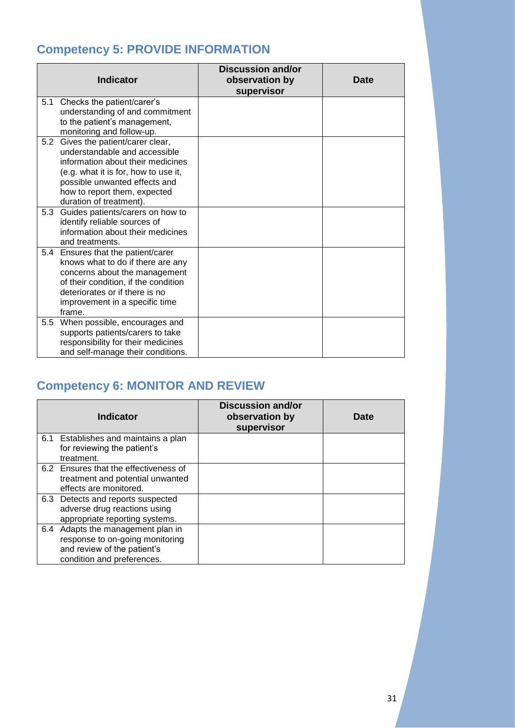### <span id="page-31-0"></span>**Competency 5: PROVIDE INFORMATION**

|     | <b>Indicator</b>                                                                                                                                                                                                                         | <b>Discussion and/or</b><br>observation by<br>supervisor | <b>Date</b> |
|-----|------------------------------------------------------------------------------------------------------------------------------------------------------------------------------------------------------------------------------------------|----------------------------------------------------------|-------------|
| 5.1 | Checks the patient/carer's<br>understanding of and commitment<br>to the patient's management,<br>monitoring and follow-up.                                                                                                               |                                                          |             |
| 5.2 | Gives the patient/carer clear,<br>understandable and accessible<br>information about their medicines<br>(e.g. what it is for, how to use it,<br>possible unwanted effects and<br>how to report them, expected<br>duration of treatment). |                                                          |             |
| 5.3 | Guides patients/carers on how to<br>identify reliable sources of<br>information about their medicines<br>and treatments.                                                                                                                 |                                                          |             |
|     | 5.4 Ensures that the patient/carer<br>knows what to do if there are any<br>concerns about the management<br>of their condition, if the condition<br>deteriorates or if there is no<br>improvement in a specific time<br>frame.           |                                                          |             |
|     | 5.5 When possible, encourages and<br>supports patients/carers to take<br>responsibility for their medicines<br>and self-manage their conditions.                                                                                         |                                                          |             |

### <span id="page-31-1"></span>**Competency 6: MONITOR AND REVIEW**

|     | <b>Indicator</b>                                                                                                              | <b>Discussion and/or</b><br>observation by<br>supervisor | <b>Date</b> |
|-----|-------------------------------------------------------------------------------------------------------------------------------|----------------------------------------------------------|-------------|
|     | 6.1 Establishes and maintains a plan<br>for reviewing the patient's<br>treatment.                                             |                                                          |             |
|     | 6.2 Ensures that the effectiveness of<br>treatment and potential unwanted<br>effects are monitored.                           |                                                          |             |
| 6.3 | Detects and reports suspected<br>adverse drug reactions using<br>appropriate reporting systems.                               |                                                          |             |
| 6.4 | Adapts the management plan in<br>response to on-going monitoring<br>and review of the patient's<br>condition and preferences. |                                                          |             |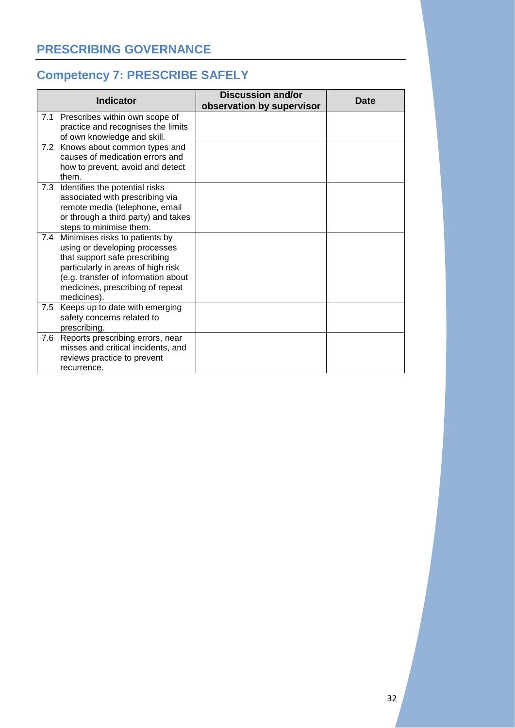### <span id="page-32-1"></span><span id="page-32-0"></span>**Competency 7: PRESCRIBE SAFELY**

|     | <b>Indicator</b>                                                                                                                                                                                                                 | <b>Discussion and/or</b><br>observation by supervisor | <b>Date</b> |
|-----|----------------------------------------------------------------------------------------------------------------------------------------------------------------------------------------------------------------------------------|-------------------------------------------------------|-------------|
|     | 7.1 Prescribes within own scope of<br>practice and recognises the limits<br>of own knowledge and skill.                                                                                                                          |                                                       |             |
|     | 7.2 Knows about common types and<br>causes of medication errors and<br>how to prevent, avoid and detect<br>them.                                                                                                                 |                                                       |             |
| 7.3 | Identifies the potential risks<br>associated with prescribing via<br>remote media (telephone, email<br>or through a third party) and takes<br>steps to minimise them.                                                            |                                                       |             |
| 7.4 | Minimises risks to patients by<br>using or developing processes<br>that support safe prescribing<br>particularly in areas of high risk<br>(e.g. transfer of information about<br>medicines, prescribing of repeat<br>medicines). |                                                       |             |
|     | 7.5 Keeps up to date with emerging<br>safety concerns related to<br>prescribing.                                                                                                                                                 |                                                       |             |
| 7.6 | Reports prescribing errors, near<br>misses and critical incidents, and<br>reviews practice to prevent<br>recurrence.                                                                                                             |                                                       |             |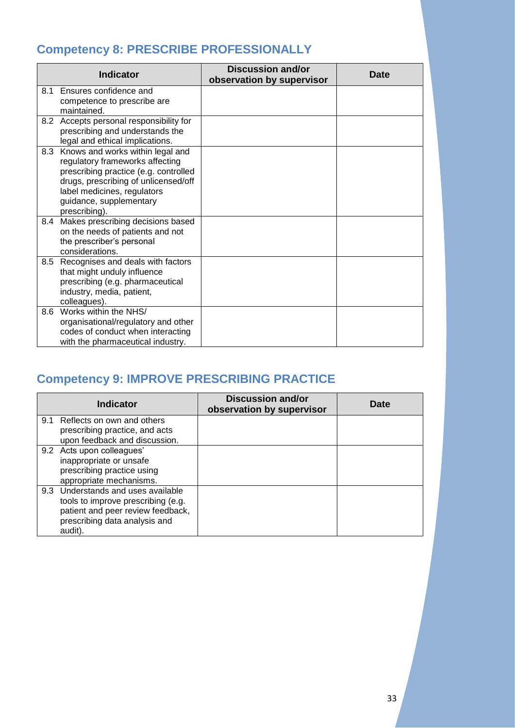### <span id="page-33-0"></span>**Competency 8: PRESCRIBE PROFESSIONALLY**

|     | <b>Indicator</b>                                                      | <b>Discussion and/or</b><br>observation by supervisor | <b>Date</b> |
|-----|-----------------------------------------------------------------------|-------------------------------------------------------|-------------|
| 8.1 | Ensures confidence and                                                |                                                       |             |
|     | competence to prescribe are                                           |                                                       |             |
|     | maintained.                                                           |                                                       |             |
|     | 8.2 Accepts personal responsibility for                               |                                                       |             |
|     | prescribing and understands the                                       |                                                       |             |
|     | legal and ethical implications.                                       |                                                       |             |
| 8.3 | Knows and works within legal and                                      |                                                       |             |
|     | regulatory frameworks affecting                                       |                                                       |             |
|     | prescribing practice (e.g. controlled                                 |                                                       |             |
|     | drugs, prescribing of unlicensed/off                                  |                                                       |             |
|     | label medicines, regulators                                           |                                                       |             |
|     | guidance, supplementary                                               |                                                       |             |
| 8.4 | prescribing).                                                         |                                                       |             |
|     | Makes prescribing decisions based<br>on the needs of patients and not |                                                       |             |
|     | the prescriber's personal                                             |                                                       |             |
|     | considerations.                                                       |                                                       |             |
| 8.5 | Recognises and deals with factors                                     |                                                       |             |
|     | that might unduly influence                                           |                                                       |             |
|     | prescribing (e.g. pharmaceutical                                      |                                                       |             |
|     | industry, media, patient,                                             |                                                       |             |
|     | colleagues).                                                          |                                                       |             |
| 8.6 | Works within the NHS/                                                 |                                                       |             |
|     | organisational/regulatory and other                                   |                                                       |             |
|     | codes of conduct when interacting                                     |                                                       |             |
|     | with the pharmaceutical industry.                                     |                                                       |             |

### <span id="page-33-1"></span>**Competency 9: IMPROVE PRESCRIBING PRACTICE**

| <b>Indicator</b>                                                                                                                                          | Discussion and/or<br>observation by supervisor | <b>Date</b> |
|-----------------------------------------------------------------------------------------------------------------------------------------------------------|------------------------------------------------|-------------|
| 9.1 Reflects on own and others<br>prescribing practice, and acts                                                                                          |                                                |             |
| upon feedback and discussion.                                                                                                                             |                                                |             |
| 9.2 Acts upon colleagues'<br>inappropriate or unsafe<br>prescribing practice using<br>appropriate mechanisms.                                             |                                                |             |
| 9.3 Understands and uses available<br>tools to improve prescribing (e.g.<br>patient and peer review feedback,<br>prescribing data analysis and<br>audit). |                                                |             |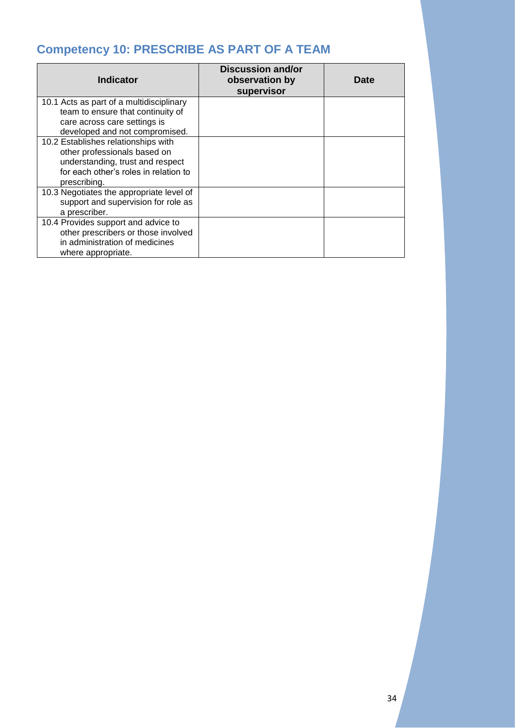### <span id="page-34-0"></span>**Competency 10: PRESCRIBE AS PART OF A TEAM**

| <b>Indicator</b>                                                                                                                                                 | <b>Discussion and/or</b><br>observation by<br>supervisor | <b>Date</b> |
|------------------------------------------------------------------------------------------------------------------------------------------------------------------|----------------------------------------------------------|-------------|
| 10.1 Acts as part of a multidisciplinary<br>team to ensure that continuity of<br>care across care settings is<br>developed and not compromised.                  |                                                          |             |
| 10.2 Establishes relationships with<br>other professionals based on<br>understanding, trust and respect<br>for each other's roles in relation to<br>prescribing. |                                                          |             |
| 10.3 Negotiates the appropriate level of<br>support and supervision for role as<br>a prescriber.                                                                 |                                                          |             |
| 10.4 Provides support and advice to<br>other prescribers or those involved<br>in administration of medicines<br>where appropriate.                               |                                                          |             |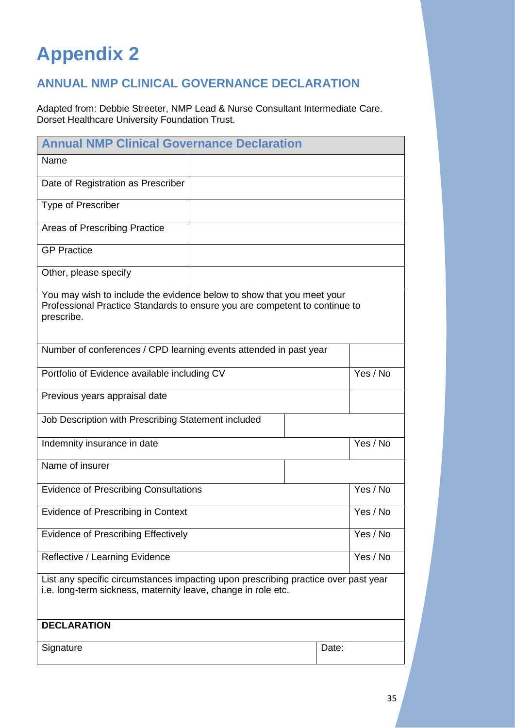## <span id="page-35-0"></span>**Appendix 2**

### <span id="page-35-1"></span>**ANNUAL NMP CLINICAL GOVERNANCE DECLARATION**

Adapted from: Debbie Streeter, NMP Lead & Nurse Consultant Intermediate Care. Dorset Healthcare University Foundation Trust.

| <b>Annual NMP Clinical Governance Declaration</b>                                                                                                                 |  |          |          |
|-------------------------------------------------------------------------------------------------------------------------------------------------------------------|--|----------|----------|
| Name                                                                                                                                                              |  |          |          |
| Date of Registration as Prescriber                                                                                                                                |  |          |          |
| <b>Type of Prescriber</b>                                                                                                                                         |  |          |          |
| Areas of Prescribing Practice                                                                                                                                     |  |          |          |
| <b>GP Practice</b>                                                                                                                                                |  |          |          |
| Other, please specify                                                                                                                                             |  |          |          |
| You may wish to include the evidence below to show that you meet your<br>Professional Practice Standards to ensure you are competent to continue to<br>prescribe. |  |          |          |
| Number of conferences / CPD learning events attended in past year                                                                                                 |  |          |          |
| Portfolio of Evidence available including CV                                                                                                                      |  | Yes / No |          |
| Previous years appraisal date                                                                                                                                     |  |          |          |
| Job Description with Prescribing Statement included                                                                                                               |  |          |          |
| Indemnity insurance in date                                                                                                                                       |  |          | Yes / No |
| Name of insurer                                                                                                                                                   |  |          |          |
| <b>Evidence of Prescribing Consultations</b>                                                                                                                      |  | Yes / No |          |
| Evidence of Prescribing in Context                                                                                                                                |  | Yes / No |          |
| Evidence of Prescribing Effectively                                                                                                                               |  | Yes / No |          |
| Reflective / Learning Evidence                                                                                                                                    |  | Yes / No |          |
| List any specific circumstances impacting upon prescribing practice over past year<br>i.e. long-term sickness, maternity leave, change in role etc.               |  |          |          |
| <b>DECLARATION</b>                                                                                                                                                |  |          |          |
| Signature                                                                                                                                                         |  |          | Date:    |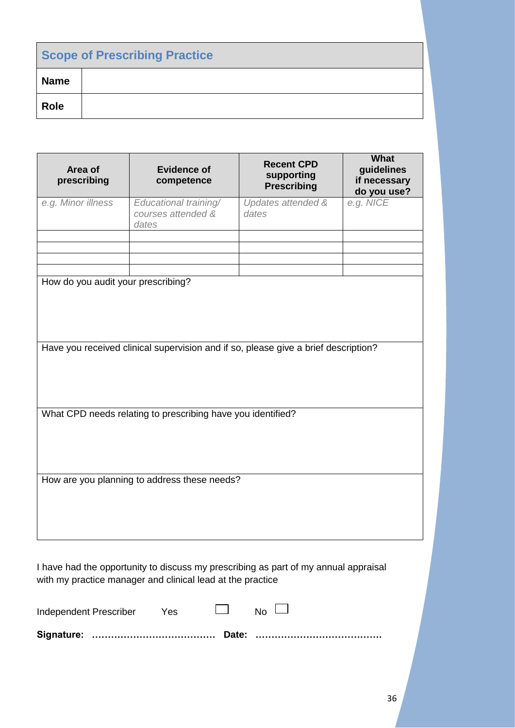| <b>Scope of Prescribing Practice</b> |  |  |
|--------------------------------------|--|--|
| <b>Name</b>                          |  |  |
| <b>Role</b>                          |  |  |

| prescribing                                                                                                              | <b>Evidence of</b><br>competence                     | <b>Recent CPD</b><br>supporting<br><b>Prescribing</b> | guidelines<br>if necessary<br>do you use? |  |  |
|--------------------------------------------------------------------------------------------------------------------------|------------------------------------------------------|-------------------------------------------------------|-------------------------------------------|--|--|
| e.g. Minor illness                                                                                                       | Educational training/<br>courses attended &<br>dates | Updates attended &<br>dates                           | e.g. NICE                                 |  |  |
|                                                                                                                          |                                                      |                                                       |                                           |  |  |
| How do you audit your prescribing?<br>Have you received clinical supervision and if so, please give a brief description? |                                                      |                                                       |                                           |  |  |
| What CPD needs relating to prescribing have you identified?                                                              |                                                      |                                                       |                                           |  |  |
| How are you planning to address these needs?                                                                             |                                                      |                                                       |                                           |  |  |

I have had the opportunity to discuss my prescribing as part of my annual appraisal with my practice manager and clinical lead at the practice

| Independent Prescriber | Yes |  |
|------------------------|-----|--|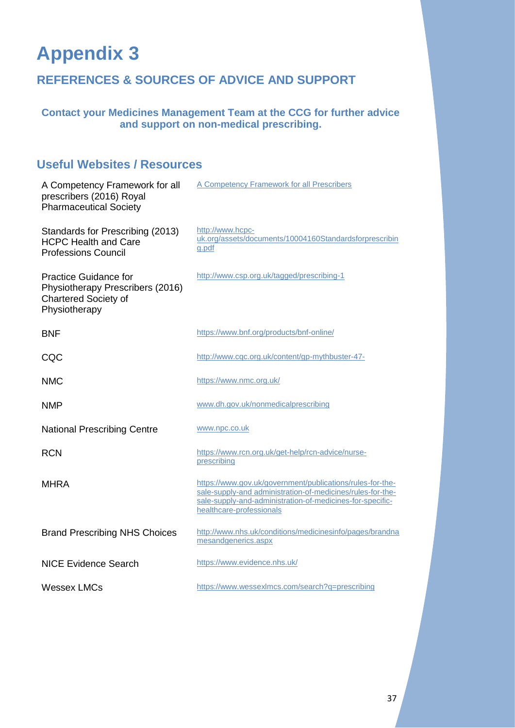## <span id="page-37-0"></span>**Appendix 3**

### <span id="page-37-1"></span>**REFERENCES & SOURCES OF ADVICE AND SUPPORT**

### **Contact your Medicines Management Team at the CCG for further advice and support on non-medical prescribing.**

### <span id="page-37-2"></span>**Useful Websites / Resources**

| A Competency Framework for all<br>prescribers (2016) Royal<br><b>Pharmaceutical Society</b>                      | A Competency Framework for all Prescribers                                                                                                                                                                       |
|------------------------------------------------------------------------------------------------------------------|------------------------------------------------------------------------------------------------------------------------------------------------------------------------------------------------------------------|
| Standards for Prescribing (2013)<br><b>HCPC Health and Care</b><br><b>Professions Council</b>                    | http://www.hcpc-<br>uk.org/assets/documents/10004160Standardsforprescribin<br>g.pdf                                                                                                                              |
| <b>Practice Guidance for</b><br>Physiotherapy Prescribers (2016)<br><b>Chartered Society of</b><br>Physiotherapy | http://www.csp.org.uk/tagged/prescribing-1                                                                                                                                                                       |
| <b>BNF</b>                                                                                                       | https://www.bnf.org/products/bnf-online/                                                                                                                                                                         |
| CQC                                                                                                              | http://www.cqc.org.uk/content/gp-mythbuster-47-                                                                                                                                                                  |
| <b>NMC</b>                                                                                                       | https://www.nmc.org.uk/                                                                                                                                                                                          |
| <b>NMP</b>                                                                                                       | www.dh.gov.uk/nonmedicalprescribing                                                                                                                                                                              |
| <b>National Prescribing Centre</b>                                                                               | www.npc.co.uk                                                                                                                                                                                                    |
| <b>RCN</b>                                                                                                       | https://www.rcn.org.uk/get-help/rcn-advice/nurse-<br>prescribing                                                                                                                                                 |
| <b>MHRA</b>                                                                                                      | https://www.gov.uk/government/publications/rules-for-the-<br>sale-supply-and administration-of-medicines/rules-for-the-<br>sale-supply-and-administration-of-medicines-for-specific-<br>healthcare-professionals |
| <b>Brand Prescribing NHS Choices</b>                                                                             | http://www.nhs.uk/conditions/medicinesinfo/pages/brandna<br>mesandgenerics.aspx                                                                                                                                  |
| <b>NICE Evidence Search</b>                                                                                      | https://www.evidence.nhs.uk/                                                                                                                                                                                     |
| <b>Wessex LMCs</b>                                                                                               | https://www.wessexImcs.com/search?q=prescribing                                                                                                                                                                  |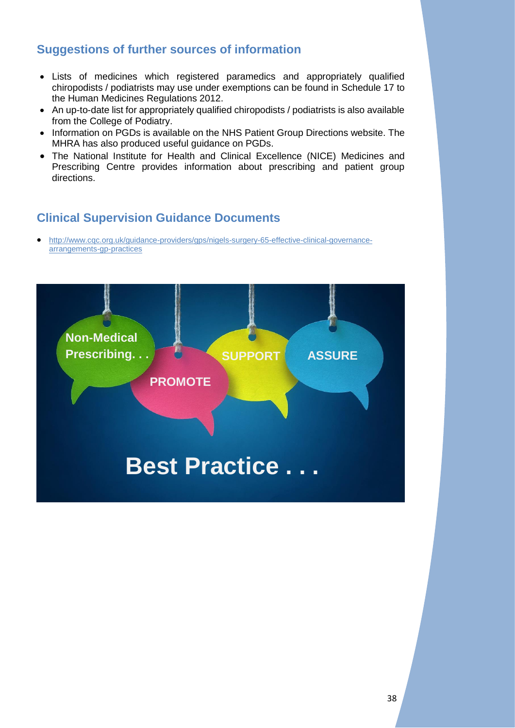### <span id="page-38-0"></span>**Suggestions of further sources of information**

- Lists of medicines which registered paramedics and appropriately qualified chiropodists / podiatrists may use under exemptions can be found in [Schedule 17 to](http://www.legislation.gov.uk/uksi/2012/1916/schedule/17/made)  [the Human Medicines Regulations 2012.](http://www.legislation.gov.uk/uksi/2012/1916/schedule/17/made)
- An up-to-date list for appropriately qualified chiropodists / podiatrists is also available from the [College of Podiatry.](http://www.scpod.org/news/podiatrists-exemptions-list/)
- Information on PGDs is available on the [NHS Patient Group Directions website.](http://www.medicinesresources.nhs.uk/en/Communities/NHS/PGDs/) The MHRA has also produced useful guidance on PGDs.
- The National Institute for Health and Clinical Excellence (NICE) [Medicines and](http://www.nice.org.uk/about/nice-communities/medicines-and-prescribing)  [Prescribing Centre](http://www.nice.org.uk/about/nice-communities/medicines-and-prescribing) provides information about prescribing and patient group directions.

### <span id="page-38-1"></span>**Clinical Supervision Guidance Documents**

• [http://www.cqc.org.uk/guidance-providers/gps/nigels-surgery-65-effective-clinical-governance](http://www.cqc.org.uk/guidance-providers/gps/nigels-surgery-65-effective-clinical-governance-arrangements-gp-practices)[arrangements-gp-practices](http://www.cqc.org.uk/guidance-providers/gps/nigels-surgery-65-effective-clinical-governance-arrangements-gp-practices)